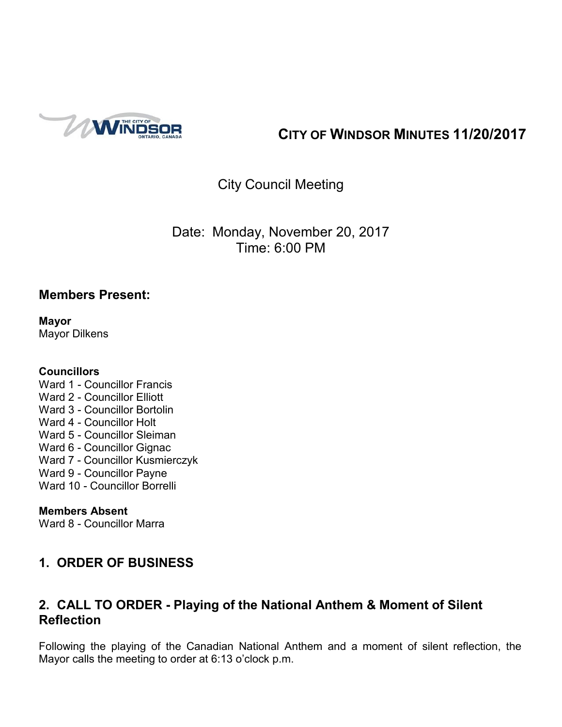

# **CITY OF WINDSOR MINUTES 11/20/2017**

# City Council Meeting

Date: Monday, November 20, 2017 Time: 6:00 PM

### **Members Present:**

**Mayor** Mayor Dilkens

### **Councillors**

Ward 1 - Councillor Francis Ward 2 - Councillor Elliott Ward 3 - Councillor Bortolin Ward 4 - Councillor Holt Ward 5 - Councillor Sleiman Ward 6 - Councillor Gignac Ward 7 - Councillor Kusmierczyk Ward 9 - Councillor Payne Ward 10 - Councillor Borrelli

### **Members Absent**

Ward 8 - Councillor Marra

# **1. ORDER OF BUSINESS**

# **2. CALL TO ORDER - Playing of the National Anthem & Moment of Silent Reflection**

Following the playing of the Canadian National Anthem and a moment of silent reflection, the Mayor calls the meeting to order at 6:13 o'clock p.m.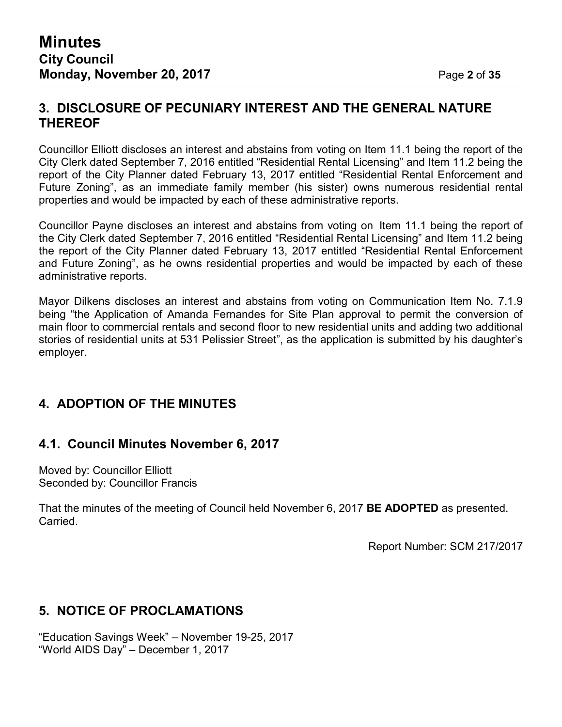### **3. DISCLOSURE OF PECUNIARY INTEREST AND THE GENERAL NATURE THEREOF**

Councillor Elliott discloses an interest and abstains from voting on Item 11.1 being the report of the City Clerk dated September 7, 2016 entitled "Residential Rental Licensing" and Item 11.2 being the report of the City Planner dated February 13, 2017 entitled "Residential Rental Enforcement and Future Zoning", as an immediate family member (his sister) owns numerous residential rental properties and would be impacted by each of these administrative reports.

Councillor Payne discloses an interest and abstains from voting on Item 11.1 being the report of the City Clerk dated September 7, 2016 entitled "Residential Rental Licensing" and Item 11.2 being the report of the City Planner dated February 13, 2017 entitled "Residential Rental Enforcement and Future Zoning", as he owns residential properties and would be impacted by each of these administrative reports.

Mayor Dilkens discloses an interest and abstains from voting on Communication Item No. 7.1.9 being "the Application of Amanda Fernandes for Site Plan approval to permit the conversion of main floor to commercial rentals and second floor to new residential units and adding two additional stories of residential units at 531 Pelissier Street", as the application is submitted by his daughter's employer.

# **4. ADOPTION OF THE MINUTES**

### **4.1. Council Minutes November 6, 2017**

Moved by: Councillor Elliott Seconded by: Councillor Francis

That the minutes of the meeting of Council held November 6, 2017 **BE ADOPTED** as presented. Carried.

Report Number: SCM 217/2017

# **5. NOTICE OF PROCLAMATIONS**

"Education Savings Week" – November 19-25, 2017 "World AIDS Day" – December 1, 2017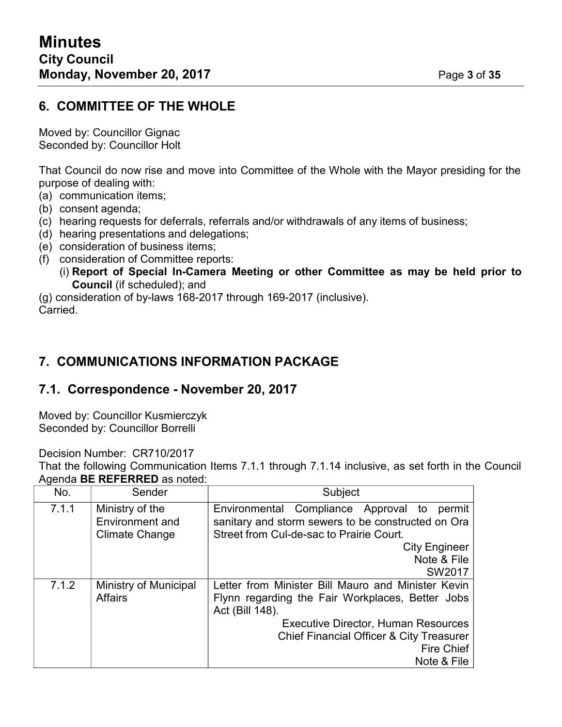# **6. COMMITTEE OF THE WHOLE**

Moved by: Councillor Gignac Seconded by: Councillor Holt

That Council do now rise and move into Committee of the Whole with the Mayor presiding for the purpose of dealing with:

- (a) communication items;
- (b) consent agenda;
- (c) hearing requests for deferrals, referrals and/or withdrawals of any items of business;
- (d) hearing presentations and delegations;
- (e) consideration of business items;
- (f) consideration of Committee reports:
	- (i) **Report of Special In-Camera Meeting or other Committee as may be held prior to Council** (if scheduled); and
- (g) consideration of by-laws 168-2017 through 169-2017 (inclusive).

Carried.

# **7. COMMUNICATIONS INFORMATION PACKAGE**

# **7.1. Correspondence - November 20, 2017**

Moved by: Councillor Kusmierczyk Seconded by: Councillor Borrelli

Decision Number: CR710/2017

That the following Communication Items 7.1.1 through 7.1.14 inclusive, as set forth in the Council Agenda **BE REFERRED** as noted:

| No.   | Sender                                                      | Subject                                                                                                                                       |
|-------|-------------------------------------------------------------|-----------------------------------------------------------------------------------------------------------------------------------------------|
| 7.1.1 | Ministry of the<br>Environment and<br><b>Climate Change</b> | Environmental Compliance Approval to permit<br>sanitary and storm sewers to be constructed on Ora<br>Street from Cul-de-sac to Prairie Court. |
|       |                                                             | <b>City Engineer</b>                                                                                                                          |
|       |                                                             | Note & File                                                                                                                                   |
|       |                                                             | SW2017                                                                                                                                        |
| 7.1.2 | Ministry of Municipal                                       | Letter from Minister Bill Mauro and Minister Kevin                                                                                            |
|       | <b>Affairs</b>                                              | Flynn regarding the Fair Workplaces, Better Jobs                                                                                              |
|       |                                                             | Act (Bill 148).                                                                                                                               |
|       |                                                             | <b>Executive Director, Human Resources</b>                                                                                                    |
|       |                                                             | <b>Chief Financial Officer &amp; City Treasurer</b>                                                                                           |
|       |                                                             | Fire Chief                                                                                                                                    |
|       |                                                             | Note & File                                                                                                                                   |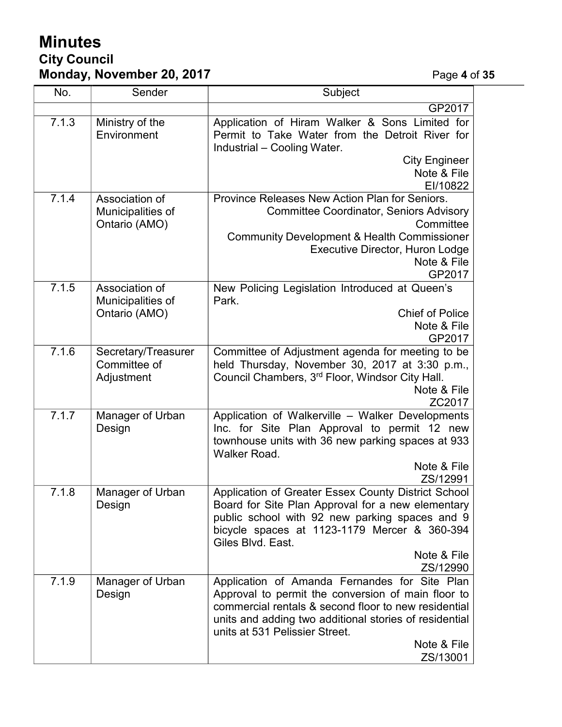# **Minutes City Council Monday, November 20, 2017** Page **4** of **35**

| No.   | Sender                                               | Subject                                                                                                                                                                                                                                                                            |
|-------|------------------------------------------------------|------------------------------------------------------------------------------------------------------------------------------------------------------------------------------------------------------------------------------------------------------------------------------------|
|       |                                                      | GP2017                                                                                                                                                                                                                                                                             |
| 7.1.3 | Ministry of the<br>Environment                       | Application of Hiram Walker & Sons Limited for<br>Permit to Take Water from the Detroit River for<br>Industrial - Cooling Water.                                                                                                                                                   |
|       |                                                      | <b>City Engineer</b>                                                                                                                                                                                                                                                               |
|       |                                                      | Note & File<br>EI/10822                                                                                                                                                                                                                                                            |
| 7.1.4 | Association of<br>Municipalities of<br>Ontario (AMO) | Province Releases New Action Plan for Seniors.<br><b>Committee Coordinator, Seniors Advisory</b><br>Committee<br><b>Community Development &amp; Health Commissioner</b><br><b>Executive Director, Huron Lodge</b><br>Note & File                                                   |
| 7.1.5 | Association of                                       | GP2017<br>New Policing Legislation Introduced at Queen's                                                                                                                                                                                                                           |
|       | Municipalities of<br>Ontario (AMO)                   | Park.<br><b>Chief of Police</b><br>Note & File<br>GP2017                                                                                                                                                                                                                           |
| 7.1.6 | Secretary/Treasurer<br>Committee of<br>Adjustment    | Committee of Adjustment agenda for meeting to be<br>held Thursday, November 30, 2017 at 3:30 p.m.,<br>Council Chambers, 3 <sup>rd</sup> Floor, Windsor City Hall.<br>Note & File<br>ZC2017                                                                                         |
| 7.1.7 | Manager of Urban<br>Design                           | Application of Walkerville - Walker Developments<br>Inc. for Site Plan Approval to permit 12 new<br>townhouse units with 36 new parking spaces at 933<br>Walker Road.<br>Note & File                                                                                               |
|       |                                                      | ZS/12991                                                                                                                                                                                                                                                                           |
| 7.1.8 | Manager of Urban<br>Design                           | Application of Greater Essex County District School<br>Board for Site Plan Approval for a new elementary<br>public school with 92 new parking spaces and 9<br>bicycle spaces at 1123-1179 Mercer & 360-394<br>Giles Blvd. East.<br>Note & File                                     |
|       |                                                      | ZS/12990                                                                                                                                                                                                                                                                           |
| 7.1.9 | Manager of Urban<br>Design                           | Application of Amanda Fernandes for Site Plan<br>Approval to permit the conversion of main floor to<br>commercial rentals & second floor to new residential<br>units and adding two additional stories of residential<br>units at 531 Pelissier Street.<br>Note & File<br>ZS/13001 |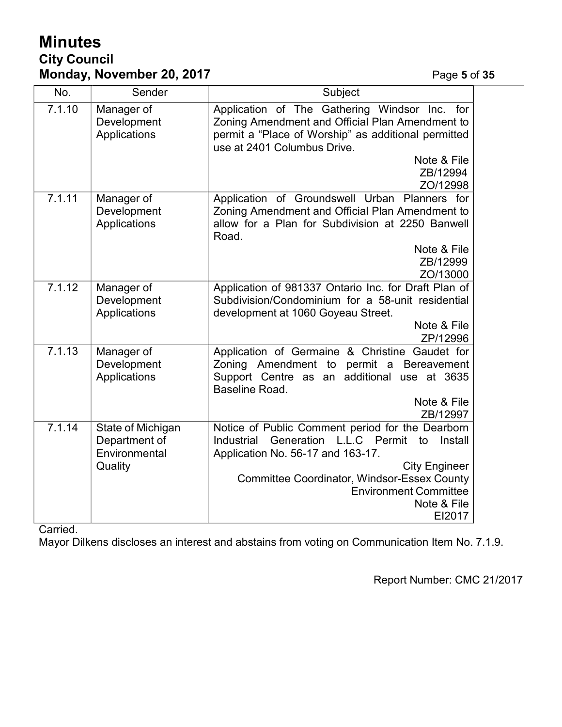# **Minutes City Council Monday, November 20, 2017 Page 5** of 35

| No.    | Sender                                                         | Subject                                                                                                                                                                                                                                                                          |
|--------|----------------------------------------------------------------|----------------------------------------------------------------------------------------------------------------------------------------------------------------------------------------------------------------------------------------------------------------------------------|
| 7.1.10 | Manager of<br>Development<br>Applications                      | Application of The Gathering Windsor Inc.<br>for<br>Zoning Amendment and Official Plan Amendment to<br>permit a "Place of Worship" as additional permitted<br>use at 2401 Columbus Drive.<br>Note & File<br>ZB/12994<br>ZO/12998                                                 |
| 7.1.11 | Manager of<br>Development<br>Applications                      | Application of Groundswell Urban Planners for<br>Zoning Amendment and Official Plan Amendment to<br>allow for a Plan for Subdivision at 2250 Banwell<br>Road.<br>Note & File                                                                                                     |
|        |                                                                | ZB/12999<br>ZO/13000                                                                                                                                                                                                                                                             |
| 7.1.12 | Manager of<br>Development<br>Applications                      | Application of 981337 Ontario Inc. for Draft Plan of<br>Subdivision/Condominium for a 58-unit residential<br>development at 1060 Goyeau Street.<br>Note & File<br>ZP/12996                                                                                                       |
| 7.1.13 | Manager of<br>Development<br>Applications                      | Application of Germaine & Christine Gaudet for<br>Zoning Amendment to<br>permit a Bereavement<br>Support Centre as an<br>additional use at 3635<br>Baseline Road.<br>Note & File<br>ZB/12997                                                                                     |
| 7.1.14 | State of Michigan<br>Department of<br>Environmental<br>Quality | Notice of Public Comment period for the Dearborn<br>Generation L.L.C Permit to Install<br>Industrial<br>Application No. 56-17 and 163-17.<br><b>City Engineer</b><br><b>Committee Coordinator, Windsor-Essex County</b><br><b>Environment Committee</b><br>Note & File<br>EI2017 |

Carried.

Mayor Dilkens discloses an interest and abstains from voting on Communication Item No. 7.1.9.

Report Number: CMC 21/2017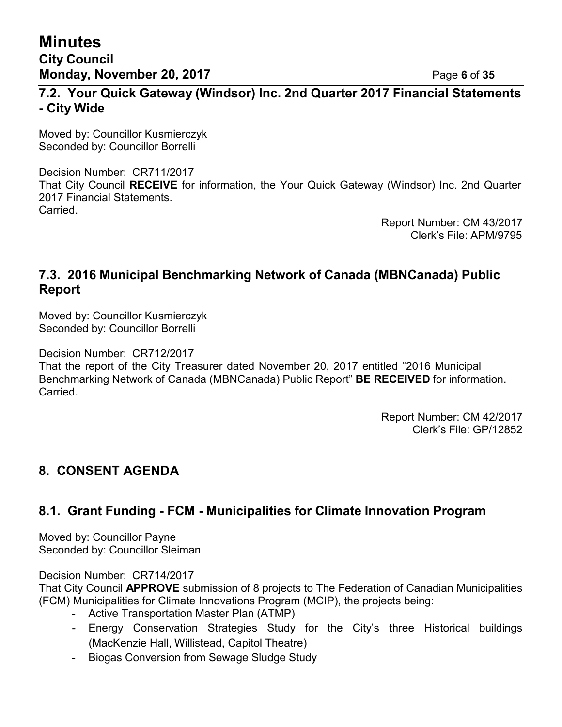### **7.2. Your Quick Gateway (Windsor) Inc. 2nd Quarter 2017 Financial Statements - City Wide**

Moved by: Councillor Kusmierczyk Seconded by: Councillor Borrelli

Decision Number: CR711/2017 That City Council **RECEIVE** for information, the Your Quick Gateway (Windsor) Inc. 2nd Quarter 2017 Financial Statements. Carried.

> Report Number: CM 43/2017 Clerk's File: APM/9795

# **7.3. 2016 Municipal Benchmarking Network of Canada (MBNCanada) Public Report**

Moved by: Councillor Kusmierczyk Seconded by: Councillor Borrelli

Decision Number: CR712/2017

That the report of the City Treasurer dated November 20, 2017 entitled "2016 Municipal Benchmarking Network of Canada (MBNCanada) Public Report" **BE RECEIVED** for information. Carried.

> Report Number: CM 42/2017 Clerk's File: GP/12852

# **8. CONSENT AGENDA**

# **8.1. Grant Funding - FCM - Municipalities for Climate Innovation Program**

Moved by: Councillor Payne Seconded by: Councillor Sleiman

Decision Number: CR714/2017

That City Council **APPROVE** submission of 8 projects to The Federation of Canadian Municipalities (FCM) Municipalities for Climate Innovations Program (MCIP), the projects being:

- Active Transportation Master Plan (ATMP)
- Energy Conservation Strategies Study for the City's three Historical buildings (MacKenzie Hall, Willistead, Capitol Theatre)
- Biogas Conversion from Sewage Sludge Study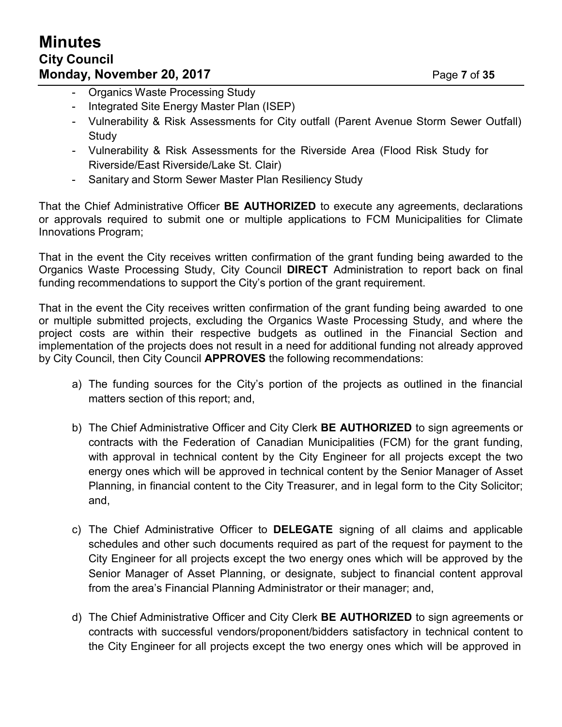- **Organics Waste Processing Study**
- Integrated Site Energy Master Plan (ISEP)
- Vulnerability & Risk Assessments for City outfall (Parent Avenue Storm Sewer Outfall) **Study**
- Vulnerability & Risk Assessments for the Riverside Area (Flood Risk Study for Riverside/East Riverside/Lake St. Clair)
- Sanitary and Storm Sewer Master Plan Resiliency Study

That the Chief Administrative Officer **BE AUTHORIZED** to execute any agreements, declarations or approvals required to submit one or multiple applications to FCM Municipalities for Climate Innovations Program;

That in the event the City receives written confirmation of the grant funding being awarded to the Organics Waste Processing Study, City Council **DIRECT** Administration to report back on final funding recommendations to support the City's portion of the grant requirement.

That in the event the City receives written confirmation of the grant funding being awarded to one or multiple submitted projects, excluding the Organics Waste Processing Study, and where the project costs are within their respective budgets as outlined in the Financial Section and implementation of the projects does not result in a need for additional funding not already approved by City Council, then City Council **APPROVES** the following recommendations:

- a) The funding sources for the City's portion of the projects as outlined in the financial matters section of this report; and,
- b) The Chief Administrative Officer and City Clerk **BE AUTHORIZED** to sign agreements or contracts with the Federation of Canadian Municipalities (FCM) for the grant funding, with approval in technical content by the City Engineer for all projects except the two energy ones which will be approved in technical content by the Senior Manager of Asset Planning, in financial content to the City Treasurer, and in legal form to the City Solicitor; and,
- c) The Chief Administrative Officer to **DELEGATE** signing of all claims and applicable schedules and other such documents required as part of the request for payment to the City Engineer for all projects except the two energy ones which will be approved by the Senior Manager of Asset Planning, or designate, subject to financial content approval from the area's Financial Planning Administrator or their manager; and,
- d) The Chief Administrative Officer and City Clerk **BE AUTHORIZED** to sign agreements or contracts with successful vendors/proponent/bidders satisfactory in technical content to the City Engineer for all projects except the two energy ones which will be approved in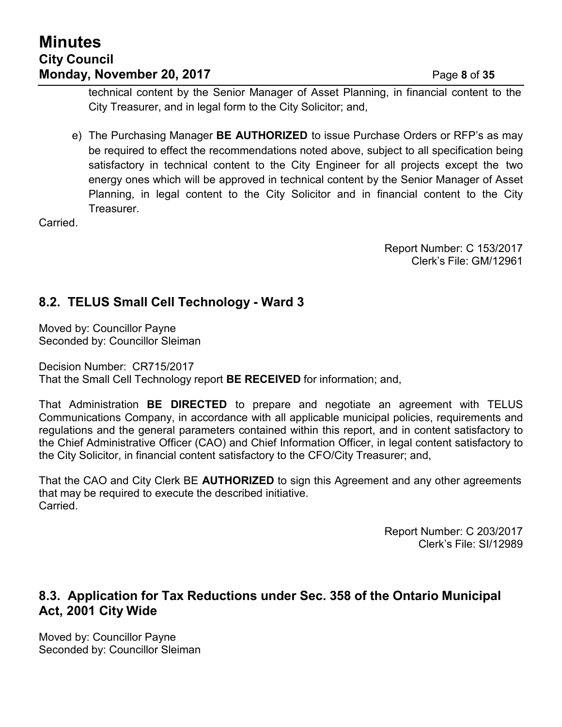# **Minutes City Council Monday, November 20, 2017** Page **8** of **35**

technical content by the Senior Manager of Asset Planning, in financial content to the City Treasurer, and in legal form to the City Solicitor; and,

e) The Purchasing Manager **BE AUTHORIZED** to issue Purchase Orders or RFP's as may be required to effect the recommendations noted above, subject to all specification being satisfactory in technical content to the City Engineer for all projects except the two energy ones which will be approved in technical content by the Senior Manager of Asset Planning, in legal content to the City Solicitor and in financial content to the City Treasurer.

**Carried** 

Report Number: C 153/2017 Clerk's File: GM/12961

# **8.2. TELUS Small Cell Technology - Ward 3**

Moved by: Councillor Payne Seconded by: Councillor Sleiman

Decision Number: CR715/2017 That the Small Cell Technology report **BE RECEIVED** for information; and,

That Administration **BE DIRECTED** to prepare and negotiate an agreement with TELUS Communications Company, in accordance with all applicable municipal policies, requirements and regulations and the general parameters contained within this report, and in content satisfactory to the Chief Administrative Officer (CAO) and Chief Information Officer, in legal content satisfactory to the City Solicitor, in financial content satisfactory to the CFO/City Treasurer; and,

That the CAO and City Clerk BE **AUTHORIZED** to sign this Agreement and any other agreements that may be required to execute the described initiative. Carried.

> Report Number: C 203/2017 Clerk's File: SI/12989

### **8.3. Application for Tax Reductions under Sec. 358 of the Ontario Municipal Act, 2001 City Wide**

Moved by: Councillor Payne Seconded by: Councillor Sleiman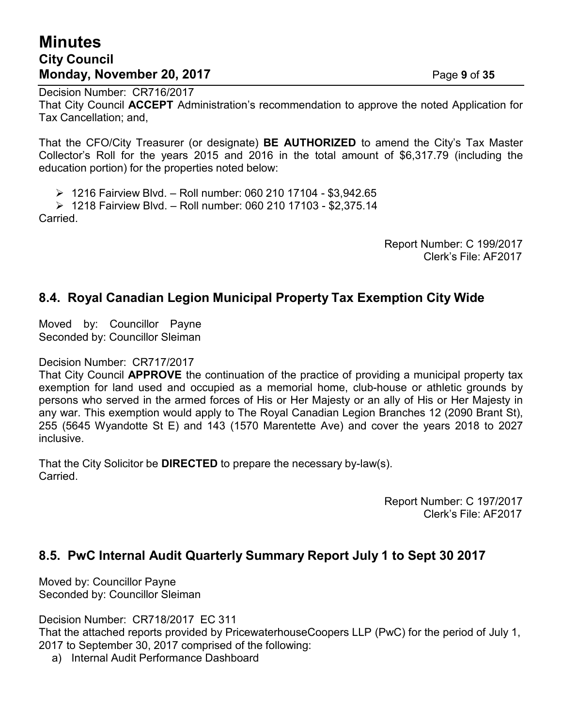# **Minutes City Council Monday, November 20, 2017** Page **9** of **35**

Decision Number: CR716/2017 That City Council **ACCEPT** Administration's recommendation to approve the noted Application for Tax Cancellation; and,

That the CFO/City Treasurer (or designate) **BE AUTHORIZED** to amend the City's Tax Master Collector's Roll for the years 2015 and 2016 in the total amount of \$6,317.79 (including the education portion) for the properties noted below:

⮚ 1216 Fairview Blvd. – Roll number: 060 210 17104 - \$3,942.65

⮚ 1218 Fairview Blvd. – Roll number: 060 210 17103 - \$2,375.14 Carried.

> Report Number: C 199/2017 Clerk's File: AF2017

# **8.4. Royal Canadian Legion Municipal Property Tax Exemption City Wide**

Moved by: Councillor Payne Seconded by: Councillor Sleiman

#### Decision Number: CR717/2017

That City Council **APPROVE** the continuation of the practice of providing a municipal property tax exemption for land used and occupied as a memorial home, club-house or athletic grounds by persons who served in the armed forces of His or Her Majesty or an ally of His or Her Majesty in any war. This exemption would apply to The Royal Canadian Legion Branches 12 (2090 Brant St), 255 (5645 Wyandotte St E) and 143 (1570 Marentette Ave) and cover the years 2018 to 2027 inclusive.

That the City Solicitor be **DIRECTED** to prepare the necessary by-law(s). Carried.

> Report Number: C 197/2017 Clerk's File: AF2017

### **8.5. PwC Internal Audit Quarterly Summary Report July 1 to Sept 30 2017**

Moved by: Councillor Payne Seconded by: Councillor Sleiman

Decision Number: CR718/2017 EC 311

That the attached reports provided by PricewaterhouseCoopers LLP (PwC) for the period of July 1, 2017 to September 30, 2017 comprised of the following:

a) Internal Audit Performance Dashboard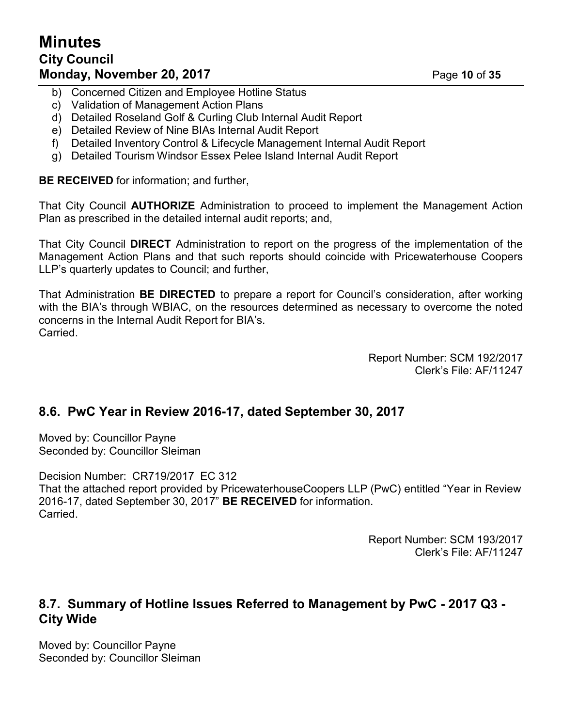# **Minutes City Council Monday, November 20, 2017** Page **10** of **35**

- b) Concerned Citizen and Employee Hotline Status
- c) Validation of Management Action Plans
- d) Detailed Roseland Golf & Curling Club Internal Audit Report
- e) Detailed Review of Nine BIAs Internal Audit Report
- f) Detailed Inventory Control & Lifecycle Management Internal Audit Report
- g) Detailed Tourism Windsor Essex Pelee Island Internal Audit Report

**BE RECEIVED** for information; and further,

That City Council **AUTHORIZE** Administration to proceed to implement the Management Action Plan as prescribed in the detailed internal audit reports; and,

That City Council **DIRECT** Administration to report on the progress of the implementation of the Management Action Plans and that such reports should coincide with Pricewaterhouse Coopers LLP's quarterly updates to Council; and further,

That Administration **BE DIRECTED** to prepare a report for Council's consideration, after working with the BIA's through WBIAC, on the resources determined as necessary to overcome the noted concerns in the Internal Audit Report for BIA's. Carried.

> Report Number: SCM 192/2017 Clerk's File: AF/11247

# **8.6. PwC Year in Review 2016-17, dated September 30, 2017**

Moved by: Councillor Payne Seconded by: Councillor Sleiman

Decision Number: CR719/2017 EC 312 That the attached report provided by PricewaterhouseCoopers LLP (PwC) entitled "Year in Review 2016-17, dated September 30, 2017" **BE RECEIVED** for information. **Carried** 

> Report Number: SCM 193/2017 Clerk's File: AF/11247

### **8.7. Summary of Hotline Issues Referred to Management by PwC - 2017 Q3 - City Wide**

Moved by: Councillor Payne Seconded by: Councillor Sleiman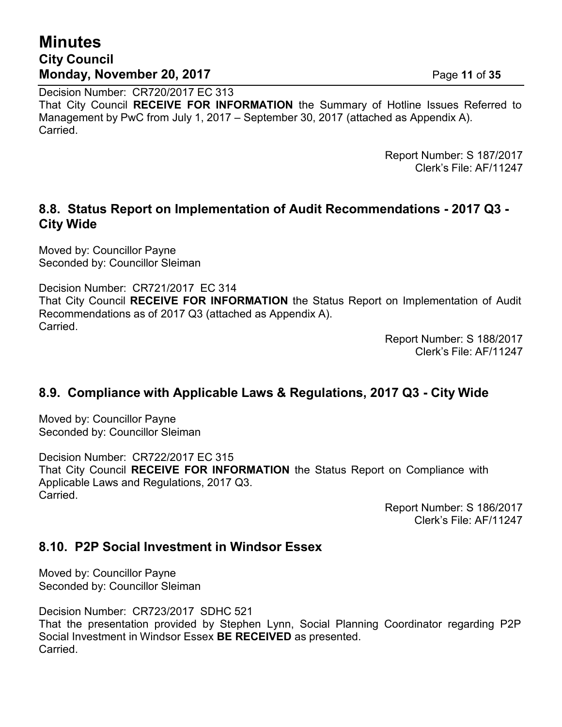# **Minutes City Council Monday, November 20, 2017** Page **11** of **35**

Decision Number: CR720/2017 EC 313 That City Council **RECEIVE FOR INFORMATION** the Summary of Hotline Issues Referred to Management by PwC from July 1, 2017 – September 30, 2017 (attached as Appendix A). Carried.

> Report Number: S 187/2017 Clerk's File: AF/11247

### **8.8. Status Report on Implementation of Audit Recommendations - 2017 Q3 - City Wide**

Moved by: Councillor Payne Seconded by: Councillor Sleiman

Decision Number: CR721/2017 EC 314 That City Council **RECEIVE FOR INFORMATION** the Status Report on Implementation of Audit Recommendations as of 2017 Q3 (attached as Appendix A). Carried.

Report Number: S 188/2017 Clerk's File: AF/11247

# **8.9. Compliance with Applicable Laws & Regulations, 2017 Q3 - City Wide**

Moved by: Councillor Payne Seconded by: Councillor Sleiman

Decision Number: CR722/2017 EC 315 That City Council **RECEIVE FOR INFORMATION** the Status Report on Compliance with Applicable Laws and Regulations, 2017 Q3. Carried.

> Report Number: S 186/2017 Clerk's File: AF/11247

# **8.10. P2P Social Investment in Windsor Essex**

Moved by: Councillor Payne Seconded by: Councillor Sleiman

Decision Number: CR723/2017 SDHC 521 That the presentation provided by Stephen Lynn, Social Planning Coordinator regarding P2P Social Investment in Windsor Essex **BE RECEIVED** as presented. Carried.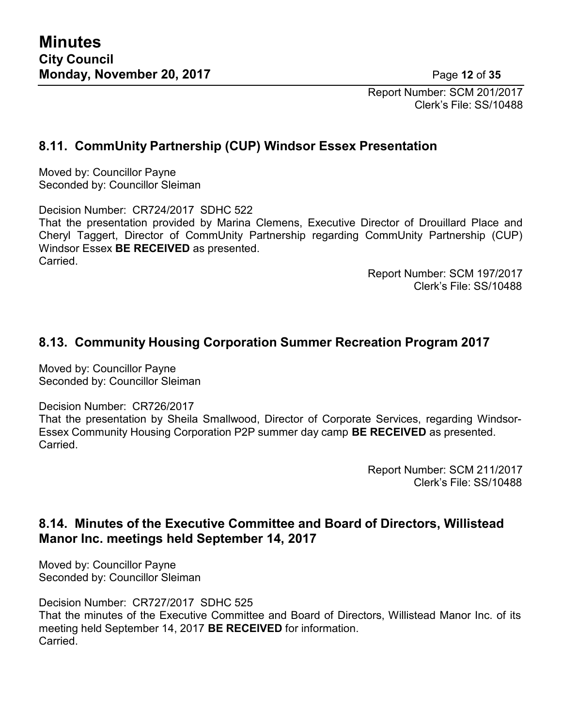Report Number: SCM 201/2017 Clerk's File: SS/10488

# **8.11. CommUnity Partnership (CUP) Windsor Essex Presentation**

Moved by: Councillor Payne Seconded by: Councillor Sleiman

Decision Number: CR724/2017 SDHC 522 That the presentation provided by Marina Clemens, Executive Director of Drouillard Place and Cheryl Taggert, Director of CommUnity Partnership regarding CommUnity Partnership (CUP) Windsor Essex **BE RECEIVED** as presented. Carried.

> Report Number: SCM 197/2017 Clerk's File: SS/10488

# **8.13. Community Housing Corporation Summer Recreation Program 2017**

Moved by: Councillor Payne Seconded by: Councillor Sleiman

Decision Number: CR726/2017

That the presentation by Sheila Smallwood, Director of Corporate Services, regarding Windsor-Essex Community Housing Corporation P2P summer day camp **BE RECEIVED** as presented. **Carried** 

> Report Number: SCM 211/2017 Clerk's File: SS/10488

# **8.14. Minutes of the Executive Committee and Board of Directors, Willistead Manor Inc. meetings held September 14, 2017**

Moved by: Councillor Payne Seconded by: Councillor Sleiman

Decision Number: CR727/2017 SDHC 525 That the minutes of the Executive Committee and Board of Directors, Willistead Manor Inc. of its meeting held September 14, 2017 **BE RECEIVED** for information. **Carried**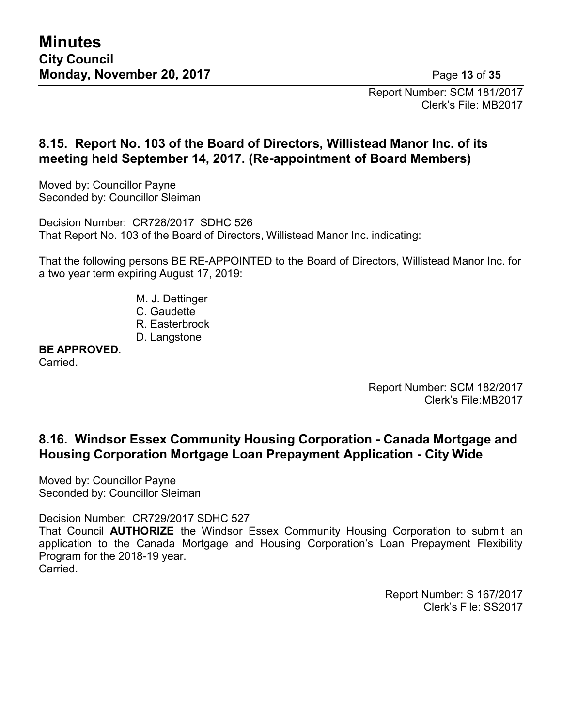Report Number: SCM 181/2017 Clerk's File: MB2017

# **8.15. Report No. 103 of the Board of Directors, Willistead Manor Inc. of its meeting held September 14, 2017. (Re-appointment of Board Members)**

Moved by: Councillor Payne Seconded by: Councillor Sleiman

Decision Number: CR728/2017 SDHC 526 That Report No. 103 of the Board of Directors, Willistead Manor Inc. indicating:

That the following persons BE RE-APPOINTED to the Board of Directors, Willistead Manor Inc. for a two year term expiring August 17, 2019:

- M. J. Dettinger
- C. Gaudette
- R. Easterbrook
- D. Langstone

**BE APPROVED**.

Carried.

Report Number: SCM 182/2017 Clerk's File:MB2017

# **8.16. Windsor Essex Community Housing Corporation - Canada Mortgage and Housing Corporation Mortgage Loan Prepayment Application - City Wide**

Moved by: Councillor Payne Seconded by: Councillor Sleiman

Decision Number: CR729/2017 SDHC 527

That Council **AUTHORIZE** the Windsor Essex Community Housing Corporation to submit an application to the Canada Mortgage and Housing Corporation's Loan Prepayment Flexibility Program for the 2018-19 year. Carried.

> Report Number: S 167/2017 Clerk's File: SS2017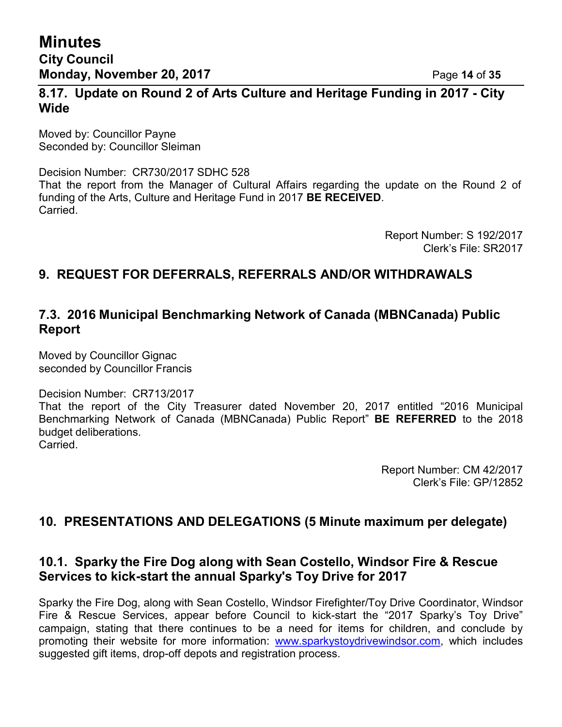### **8.17. Update on Round 2 of Arts Culture and Heritage Funding in 2017 - City Wide**

Moved by: Councillor Payne Seconded by: Councillor Sleiman

Decision Number: CR730/2017 SDHC 528 That the report from the Manager of Cultural Affairs regarding the update on the Round 2 of funding of the Arts, Culture and Heritage Fund in 2017 **BE RECEIVED**. Carried.

> Report Number: S 192/2017 Clerk's File: SR2017

# **9. REQUEST FOR DEFERRALS, REFERRALS AND/OR WITHDRAWALS**

# **7.3. 2016 Municipal Benchmarking Network of Canada (MBNCanada) Public Report**

Moved by Councillor Gignac seconded by Councillor Francis

Decision Number: CR713/2017

That the report of the City Treasurer dated November 20, 2017 entitled "2016 Municipal Benchmarking Network of Canada (MBNCanada) Public Report" **BE REFERRED** to the 2018 budget deliberations. **Carried** 

> Report Number: CM 42/2017 Clerk's File: GP/12852

# **10. PRESENTATIONS AND DELEGATIONS (5 Minute maximum per delegate)**

### **10.1. Sparky the Fire Dog along with Sean Costello, Windsor Fire & Rescue Services to kick-start the annual Sparky's Toy Drive for 2017**

Sparky the Fire Dog, along with Sean Costello, Windsor Firefighter/Toy Drive Coordinator, Windsor Fire & Rescue Services, appear before Council to kick-start the "2017 Sparky's Toy Drive" campaign, stating that there continues to be a need for items for children, and conclude by promoting their website for more information: [www.sparkystoydrivewindsor.com,](http://www.sparkystoydrivewindsor.com/) which includes suggested gift items, drop-off depots and registration process.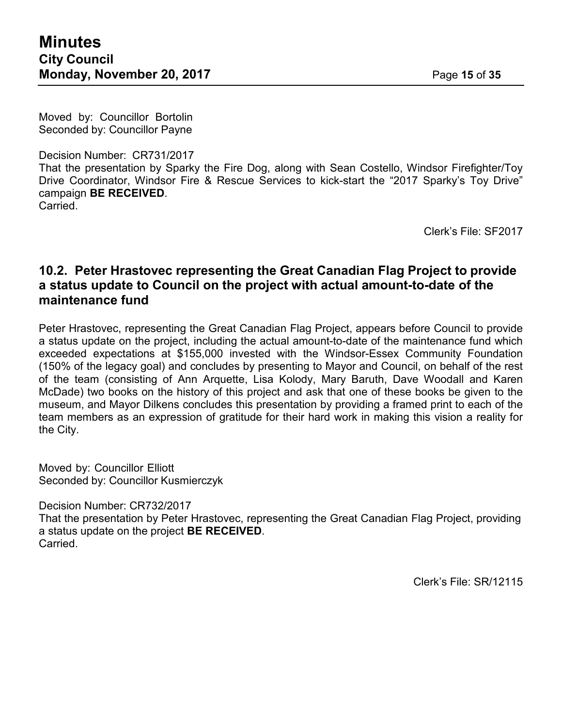Moved by: Councillor Bortolin Seconded by: Councillor Payne

Decision Number: CR731/2017 That the presentation by Sparky the Fire Dog, along with Sean Costello, Windsor Firefighter/Toy Drive Coordinator, Windsor Fire & Rescue Services to kick-start the "2017 Sparky's Toy Drive" campaign **BE RECEIVED**. Carried.

Clerk's File: SF2017

### **10.2. Peter Hrastovec representing the Great Canadian Flag Project to provide a status update to Council on the project with actual amount-to-date of the maintenance fund**

Peter Hrastovec, representing the Great Canadian Flag Project, appears before Council to provide a status update on the project, including the actual amount-to-date of the maintenance fund which exceeded expectations at \$155,000 invested with the Windsor-Essex Community Foundation (150% of the legacy goal) and concludes by presenting to Mayor and Council, on behalf of the rest of the team (consisting of Ann Arquette, Lisa Kolody, Mary Baruth, Dave Woodall and Karen McDade) two books on the history of this project and ask that one of these books be given to the museum, and Mayor Dilkens concludes this presentation by providing a framed print to each of the team members as an expression of gratitude for their hard work in making this vision a reality for the City.

Moved by: Councillor Elliott Seconded by: Councillor Kusmierczyk

Decision Number: CR732/2017

That the presentation by Peter Hrastovec, representing the Great Canadian Flag Project, providing a status update on the project **BE RECEIVED**. Carried.

Clerk's File: SR/12115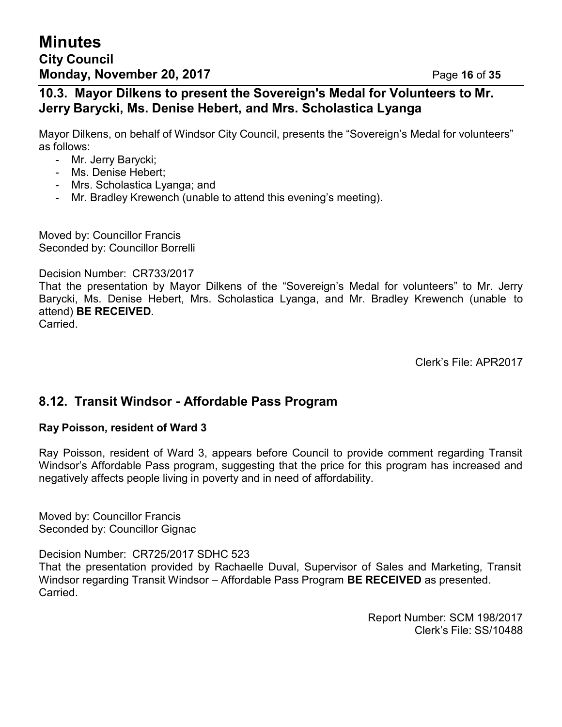### **10.3. Mayor Dilkens to present the Sovereign's Medal for Volunteers to Mr. Jerry Barycki, Ms. Denise Hebert, and Mrs. Scholastica Lyanga**

Mayor Dilkens, on behalf of Windsor City Council, presents the "Sovereign's Medal for volunteers" as follows:

- Mr. Jerry Barycki;
- Ms. Denise Hebert;
- Mrs. Scholastica Lyanga; and
- Mr. Bradley Krewench (unable to attend this evening's meeting).

Moved by: Councillor Francis Seconded by: Councillor Borrelli

Decision Number: CR733/2017

That the presentation by Mayor Dilkens of the "Sovereign's Medal for volunteers" to Mr. Jerry Barycki, Ms. Denise Hebert, Mrs. Scholastica Lyanga, and Mr. Bradley Krewench (unable to attend) **BE RECEIVED**. Carried.

Clerk's File: APR2017

# **8.12. Transit Windsor - Affordable Pass Program**

#### **Ray Poisson, resident of Ward 3**

Ray Poisson, resident of Ward 3, appears before Council to provide comment regarding Transit Windsor's Affordable Pass program, suggesting that the price for this program has increased and negatively affects people living in poverty and in need of affordability.

Moved by: Councillor Francis Seconded by: Councillor Gignac

Decision Number: CR725/2017 SDHC 523

That the presentation provided by Rachaelle Duval, Supervisor of Sales and Marketing, Transit Windsor regarding Transit Windsor – Affordable Pass Program **BE RECEIVED** as presented. Carried.

> Report Number: SCM 198/2017 Clerk's File: SS/10488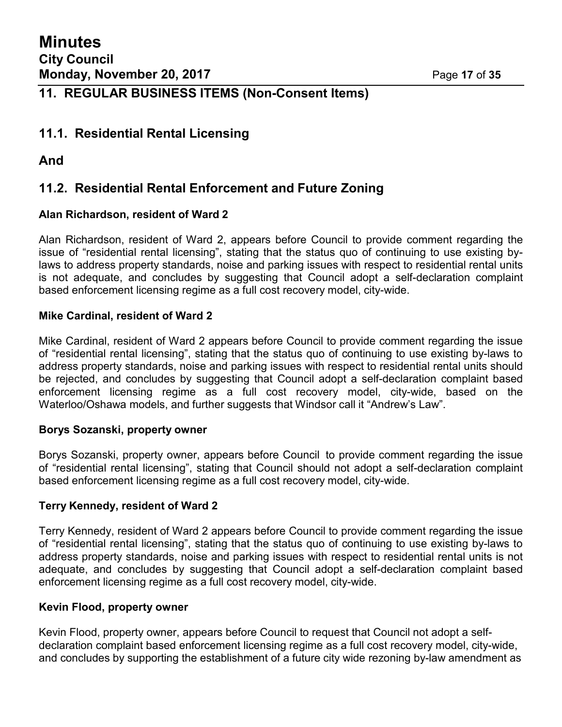# **11. REGULAR BUSINESS ITEMS (Non-Consent Items)**

### **11.1. Residential Rental Licensing**

### **And**

# **11.2. Residential Rental Enforcement and Future Zoning**

### **Alan Richardson, resident of Ward 2**

Alan Richardson, resident of Ward 2, appears before Council to provide comment regarding the issue of "residential rental licensing", stating that the status quo of continuing to use existing bylaws to address property standards, noise and parking issues with respect to residential rental units is not adequate, and concludes by suggesting that Council adopt a self-declaration complaint based enforcement licensing regime as a full cost recovery model, city-wide.

### **Mike Cardinal, resident of Ward 2**

Mike Cardinal, resident of Ward 2 appears before Council to provide comment regarding the issue of "residential rental licensing", stating that the status quo of continuing to use existing by-laws to address property standards, noise and parking issues with respect to residential rental units should be rejected, and concludes by suggesting that Council adopt a self-declaration complaint based enforcement licensing regime as a full cost recovery model, city-wide, based on the Waterloo/Oshawa models, and further suggests that Windsor call it "Andrew's Law".

### **Borys Sozanski, property owner**

Borys Sozanski, property owner, appears before Council to provide comment regarding the issue of "residential rental licensing", stating that Council should not adopt a self-declaration complaint based enforcement licensing regime as a full cost recovery model, city-wide.

### **Terry Kennedy, resident of Ward 2**

Terry Kennedy, resident of Ward 2 appears before Council to provide comment regarding the issue of "residential rental licensing", stating that the status quo of continuing to use existing by-laws to address property standards, noise and parking issues with respect to residential rental units is not adequate, and concludes by suggesting that Council adopt a self-declaration complaint based enforcement licensing regime as a full cost recovery model, city-wide.

#### **Kevin Flood, property owner**

Kevin Flood, property owner, appears before Council to request that Council not adopt a selfdeclaration complaint based enforcement licensing regime as a full cost recovery model, city-wide, and concludes by supporting the establishment of a future city wide rezoning by-law amendment as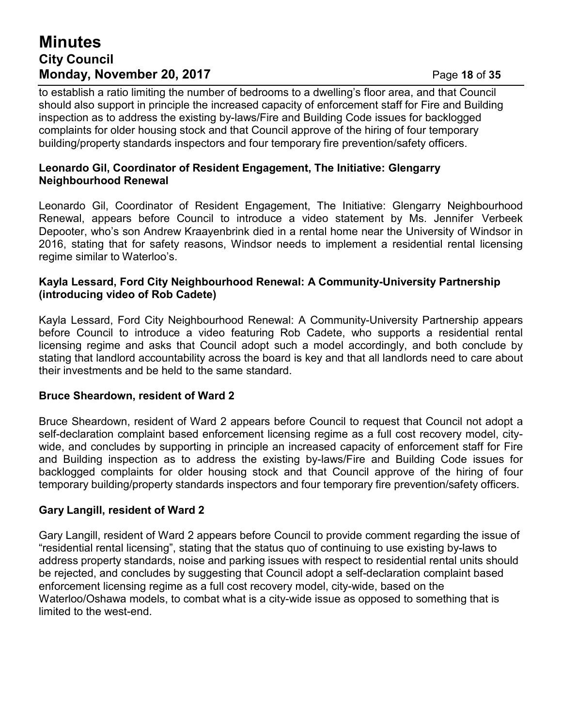# **Minutes City Council Monday, November 20, 2017** Page **18** of **35**

to establish a ratio limiting the number of bedrooms to a dwelling's floor area, and that Council should also support in principle the increased capacity of enforcement staff for Fire and Building inspection as to address the existing by-laws/Fire and Building Code issues for backlogged complaints for older housing stock and that Council approve of the hiring of four temporary building/property standards inspectors and four temporary fire prevention/safety officers.

#### **Leonardo Gil, Coordinator of Resident Engagement, The Initiative: Glengarry Neighbourhood Renewal**

Leonardo Gil, Coordinator of Resident Engagement, The Initiative: Glengarry Neighbourhood Renewal, appears before Council to introduce a video statement by Ms. Jennifer Verbeek Depooter, who's son Andrew Kraayenbrink died in a rental home near the University of Windsor in 2016, stating that for safety reasons, Windsor needs to implement a residential rental licensing regime similar to Waterloo's.

#### **Kayla Lessard, Ford City Neighbourhood Renewal: A Community-University Partnership (introducing video of Rob Cadete)**

Kayla Lessard, Ford City Neighbourhood Renewal: A Community-University Partnership appears before Council to introduce a video featuring Rob Cadete, who supports a residential rental licensing regime and asks that Council adopt such a model accordingly, and both conclude by stating that landlord accountability across the board is key and that all landlords need to care about their investments and be held to the same standard.

#### **Bruce Sheardown, resident of Ward 2**

Bruce Sheardown, resident of Ward 2 appears before Council to request that Council not adopt a self-declaration complaint based enforcement licensing regime as a full cost recovery model, citywide, and concludes by supporting in principle an increased capacity of enforcement staff for Fire and Building inspection as to address the existing by-laws/Fire and Building Code issues for backlogged complaints for older housing stock and that Council approve of the hiring of four temporary building/property standards inspectors and four temporary fire prevention/safety officers.

### **Gary Langill, resident of Ward 2**

Gary Langill, resident of Ward 2 appears before Council to provide comment regarding the issue of "residential rental licensing", stating that the status quo of continuing to use existing by-laws to address property standards, noise and parking issues with respect to residential rental units should be rejected, and concludes by suggesting that Council adopt a self-declaration complaint based enforcement licensing regime as a full cost recovery model, city-wide, based on the Waterloo/Oshawa models, to combat what is a city-wide issue as opposed to something that is limited to the west-end.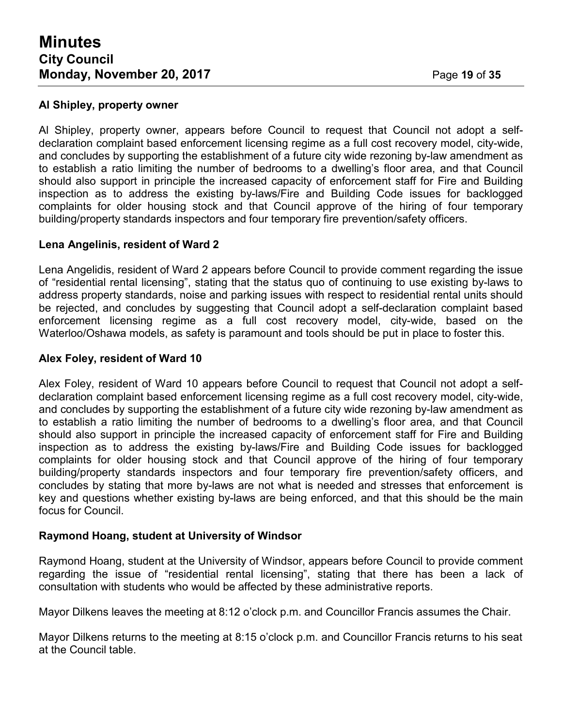#### **Al Shipley, property owner**

Al Shipley, property owner, appears before Council to request that Council not adopt a selfdeclaration complaint based enforcement licensing regime as a full cost recovery model, city-wide, and concludes by supporting the establishment of a future city wide rezoning by-law amendment as to establish a ratio limiting the number of bedrooms to a dwelling's floor area, and that Council should also support in principle the increased capacity of enforcement staff for Fire and Building inspection as to address the existing by-laws/Fire and Building Code issues for backlogged complaints for older housing stock and that Council approve of the hiring of four temporary building/property standards inspectors and four temporary fire prevention/safety officers.

#### **Lena Angelinis, resident of Ward 2**

Lena Angelidis, resident of Ward 2 appears before Council to provide comment regarding the issue of "residential rental licensing", stating that the status quo of continuing to use existing by-laws to address property standards, noise and parking issues with respect to residential rental units should be rejected, and concludes by suggesting that Council adopt a self-declaration complaint based enforcement licensing regime as a full cost recovery model, city-wide, based on the Waterloo/Oshawa models, as safety is paramount and tools should be put in place to foster this.

#### **Alex Foley, resident of Ward 10**

Alex Foley, resident of Ward 10 appears before Council to request that Council not adopt a selfdeclaration complaint based enforcement licensing regime as a full cost recovery model, city-wide, and concludes by supporting the establishment of a future city wide rezoning by-law amendment as to establish a ratio limiting the number of bedrooms to a dwelling's floor area, and that Council should also support in principle the increased capacity of enforcement staff for Fire and Building inspection as to address the existing by-laws/Fire and Building Code issues for backlogged complaints for older housing stock and that Council approve of the hiring of four temporary building/property standards inspectors and four temporary fire prevention/safety officers, and concludes by stating that more by-laws are not what is needed and stresses that enforcement is key and questions whether existing by-laws are being enforced, and that this should be the main focus for Council.

#### **Raymond Hoang, student at University of Windsor**

Raymond Hoang, student at the University of Windsor, appears before Council to provide comment regarding the issue of "residential rental licensing", stating that there has been a lack of consultation with students who would be affected by these administrative reports.

Mayor Dilkens leaves the meeting at 8:12 o'clock p.m. and Councillor Francis assumes the Chair.

Mayor Dilkens returns to the meeting at 8:15 o'clock p.m. and Councillor Francis returns to his seat at the Council table.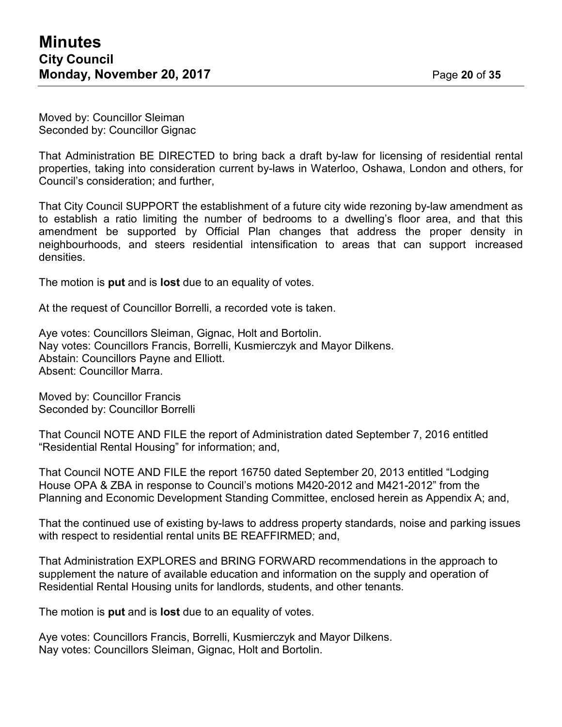Moved by: Councillor Sleiman Seconded by: Councillor Gignac

That Administration BE DIRECTED to bring back a draft by-law for licensing of residential rental properties, taking into consideration current by-laws in Waterloo, Oshawa, London and others, for Council's consideration; and further,

That City Council SUPPORT the establishment of a future city wide rezoning by-law amendment as to establish a ratio limiting the number of bedrooms to a dwelling's floor area, and that this amendment be supported by Official Plan changes that address the proper density in neighbourhoods, and steers residential intensification to areas that can support increased densities.

The motion is **put** and is **lost** due to an equality of votes.

At the request of Councillor Borrelli, a recorded vote is taken.

Aye votes: Councillors Sleiman, Gignac, Holt and Bortolin. Nay votes: Councillors Francis, Borrelli, Kusmierczyk and Mayor Dilkens. Abstain: Councillors Payne and Elliott. Absent: Councillor Marra.

Moved by: Councillor Francis Seconded by: Councillor Borrelli

That Council NOTE AND FILE the report of Administration dated September 7, 2016 entitled "Residential Rental Housing" for information; and,

That Council NOTE AND FILE the report 16750 dated September 20, 2013 entitled "Lodging House OPA & ZBA in response to Council's motions M420-2012 and M421-2012" from the Planning and Economic Development Standing Committee, enclosed herein as Appendix A; and,

That the continued use of existing by-laws to address property standards, noise and parking issues with respect to residential rental units BE REAFFIRMED; and,

That Administration EXPLORES and BRING FORWARD recommendations in the approach to supplement the nature of available education and information on the supply and operation of Residential Rental Housing units for landlords, students, and other tenants.

The motion is **put** and is **lost** due to an equality of votes.

Aye votes: Councillors Francis, Borrelli, Kusmierczyk and Mayor Dilkens. Nay votes: Councillors Sleiman, Gignac, Holt and Bortolin.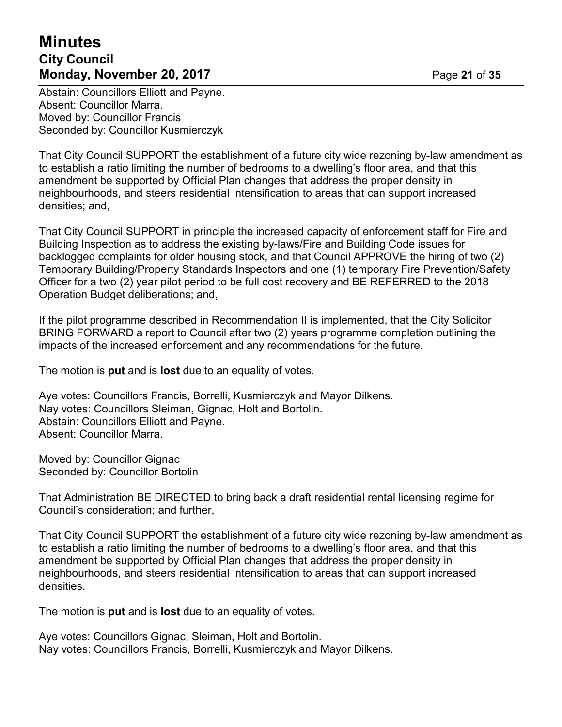# **Minutes City Council Monday, November 20, 2017 Page 21 of 35**

Abstain: Councillors Elliott and Payne. Absent: Councillor Marra. Moved by: Councillor Francis Seconded by: Councillor Kusmierczyk

That City Council SUPPORT the establishment of a future city wide rezoning by-law amendment as to establish a ratio limiting the number of bedrooms to a dwelling's floor area, and that this amendment be supported by Official Plan changes that address the proper density in neighbourhoods, and steers residential intensification to areas that can support increased densities; and,

That City Council SUPPORT in principle the increased capacity of enforcement staff for Fire and Building Inspection as to address the existing by-laws/Fire and Building Code issues for backlogged complaints for older housing stock, and that Council APPROVE the hiring of two (2) Temporary Building/Property Standards Inspectors and one (1) temporary Fire Prevention/Safety Officer for a two (2) year pilot period to be full cost recovery and BE REFERRED to the 2018 Operation Budget deliberations; and,

If the pilot programme described in Recommendation II is implemented, that the City Solicitor BRING FORWARD a report to Council after two (2) years programme completion outlining the impacts of the increased enforcement and any recommendations for the future.

The motion is **put** and is **lost** due to an equality of votes.

Aye votes: Councillors Francis, Borrelli, Kusmierczyk and Mayor Dilkens. Nay votes: Councillors Sleiman, Gignac, Holt and Bortolin. Abstain: Councillors Elliott and Payne. Absent: Councillor Marra.

Moved by: Councillor Gignac Seconded by: Councillor Bortolin

That Administration BE DIRECTED to bring back a draft residential rental licensing regime for Council's consideration; and further,

That City Council SUPPORT the establishment of a future city wide rezoning by-law amendment as to establish a ratio limiting the number of bedrooms to a dwelling's floor area, and that this amendment be supported by Official Plan changes that address the proper density in neighbourhoods, and steers residential intensification to areas that can support increased densities.

The motion is **put** and is **lost** due to an equality of votes.

Aye votes: Councillors Gignac, Sleiman, Holt and Bortolin. Nay votes: Councillors Francis, Borrelli, Kusmierczyk and Mayor Dilkens.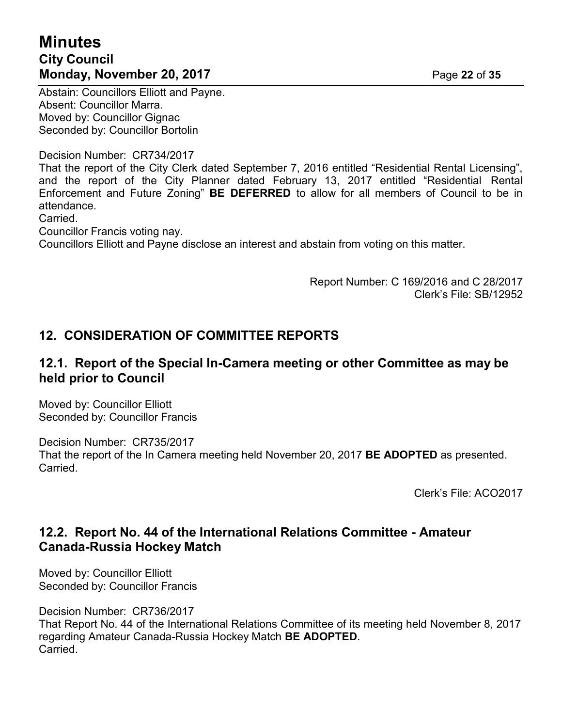# **Minutes City Council Monday, November 20, 2017** Page 22 of 35

Abstain: Councillors Elliott and Payne. Absent: Councillor Marra. Moved by: Councillor Gignac Seconded by: Councillor Bortolin

Decision Number: CR734/2017 That the report of the City Clerk dated September 7, 2016 entitled "Residential Rental Licensing", and the report of the City Planner dated February 13, 2017 entitled "Residential Rental Enforcement and Future Zoning" **BE DEFERRED** to allow for all members of Council to be in attendance.

Carried.

Councillor Francis voting nay.

Councillors Elliott and Payne disclose an interest and abstain from voting on this matter.

Report Number: C 169/2016 and C 28/2017 Clerk's File: SB/12952

# **12. CONSIDERATION OF COMMITTEE REPORTS**

### **12.1. Report of the Special In-Camera meeting or other Committee as may be held prior to Council**

Moved by: Councillor Elliott Seconded by: Councillor Francis

Decision Number: CR735/2017 That the report of the In Camera meeting held November 20, 2017 **BE ADOPTED** as presented. Carried.

Clerk's File: ACO2017

### **12.2. Report No. 44 of the International Relations Committee - Amateur Canada-Russia Hockey Match**

Moved by: Councillor Elliott Seconded by: Councillor Francis

Decision Number: CR736/2017

That Report No. 44 of the International Relations Committee of its meeting held November 8, 2017 regarding Amateur Canada-Russia Hockey Match **BE ADOPTED**. Carried.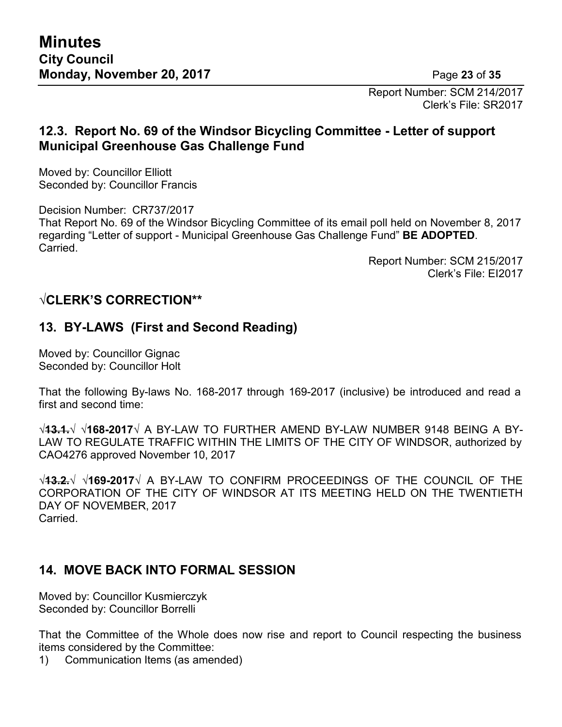Report Number: SCM 214/2017 Clerk's File: SR2017

# **12.3. Report No. 69 of the Windsor Bicycling Committee - Letter of support Municipal Greenhouse Gas Challenge Fund**

Moved by: Councillor Elliott Seconded by: Councillor Francis

Decision Number: CR737/2017 That Report No. 69 of the Windsor Bicycling Committee of its email poll held on November 8, 2017 regarding "Letter of support - Municipal Greenhouse Gas Challenge Fund" **BE ADOPTED**. Carried.

> Report Number: SCM 215/2017 Clerk's File: EI2017

# **√CLERK'S CORRECTION\*\***

# **13. BY-LAWS (First and Second Reading)**

Moved by: Councillor Gignac Seconded by: Councillor Holt

That the following By-laws No. 168-2017 through 169-2017 (inclusive) be introduced and read a first and second time:

**√13.1.√ √168-2017√** A BY-LAW TO FURTHER AMEND BY-LAW NUMBER 9148 BEING A BY-LAW TO REGULATE TRAFFIC WITHIN THE LIMITS OF THE CITY OF WINDSOR, authorized by CAO4276 approved November 10, 2017

**√13.2.√ √169-2017√** A BY-LAW TO CONFIRM PROCEEDINGS OF THE COUNCIL OF THE CORPORATION OF THE CITY OF WINDSOR AT ITS MEETING HELD ON THE TWENTIETH DAY OF NOVEMBER, 2017 Carried.

# **14. MOVE BACK INTO FORMAL SESSION**

Moved by: Councillor Kusmierczyk Seconded by: Councillor Borrelli

That the Committee of the Whole does now rise and report to Council respecting the business items considered by the Committee:

1) Communication Items (as amended)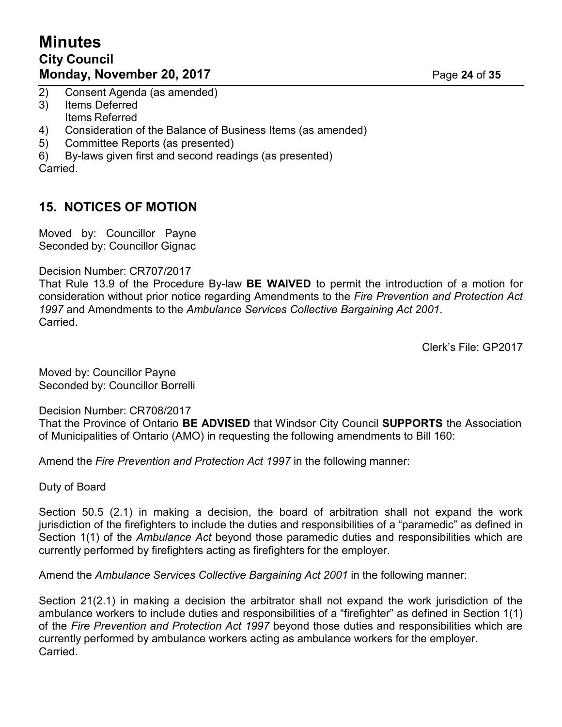# **Minutes City Council Monday, November 20, 2017** Page 24 of 35

- 2) Consent Agenda (as amended)
- 3) Items Deferred Items Referred
- 4) Consideration of the Balance of Business Items (as amended)
- 5) Committee Reports (as presented)
- 6) By-laws given first and second readings (as presented)

Carried.

# **15. NOTICES OF MOTION**

Moved by: Councillor Payne Seconded by: Councillor Gignac

#### Decision Number: CR707/2017

That Rule 13.9 of the Procedure By-law **BE WAIVED** to permit the introduction of a motion for consideration without prior notice regarding Amendments to the *Fire Prevention and Protection Act 1997* and Amendments to the *Ambulance Services Collective Bargaining Act 2001*. Carried.

Clerk's File: GP2017

Moved by: Councillor Payne Seconded by: Councillor Borrelli

Decision Number: CR708/2017

That the Province of Ontario **BE ADVISED** that Windsor City Council **SUPPORTS** the Association of Municipalities of Ontario (AMO) in requesting the following amendments to Bill 160:

Amend the *Fire Prevention and Protection Act 1997* in the following manner:

Duty of Board

Section 50.5 (2.1) in making a decision, the board of arbitration shall not expand the work jurisdiction of the firefighters to include the duties and responsibilities of a "paramedic" as defined in Section 1(1) of the *Ambulance Act* beyond those paramedic duties and responsibilities which are currently performed by firefighters acting as firefighters for the employer.

Amend the *Ambulance Services Collective Bargaining Act 2001* in the following manner:

Section 21(2.1) in making a decision the arbitrator shall not expand the work jurisdiction of the ambulance workers to include duties and responsibilities of a "firefighter" as defined in Section 1(1) of the *Fire Prevention and Protection Act 1997* beyond those duties and responsibilities which are currently performed by ambulance workers acting as ambulance workers for the employer. Carried.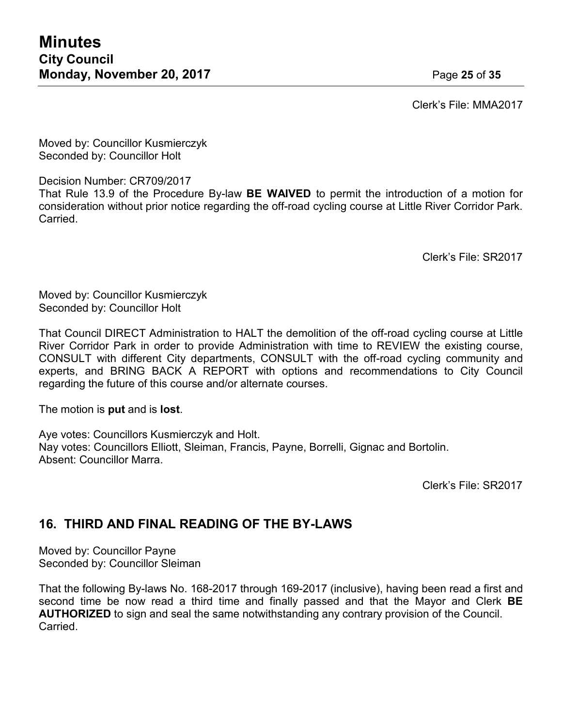Clerk's File: MMA2017

Moved by: Councillor Kusmierczyk Seconded by: Councillor Holt

Decision Number: CR709/2017

That Rule 13.9 of the Procedure By-law **BE WAIVED** to permit the introduction of a motion for consideration without prior notice regarding the off-road cycling course at Little River Corridor Park. Carried.

Clerk's File: SR2017

Moved by: Councillor Kusmierczyk Seconded by: Councillor Holt

That Council DIRECT Administration to HALT the demolition of the off-road cycling course at Little River Corridor Park in order to provide Administration with time to REVIEW the existing course, CONSULT with different City departments, CONSULT with the off-road cycling community and experts, and BRING BACK A REPORT with options and recommendations to City Council regarding the future of this course and/or alternate courses.

The motion is **put** and is **lost**.

Aye votes: Councillors Kusmierczyk and Holt. Nay votes: Councillors Elliott, Sleiman, Francis, Payne, Borrelli, Gignac and Bortolin. Absent: Councillor Marra.

Clerk's File: SR2017

# **16. THIRD AND FINAL READING OF THE BY-LAWS**

Moved by: Councillor Payne Seconded by: Councillor Sleiman

That the following By-laws No. 168-2017 through 169-2017 (inclusive), having been read a first and second time be now read a third time and finally passed and that the Mayor and Clerk **BE AUTHORIZED** to sign and seal the same notwithstanding any contrary provision of the Council. Carried.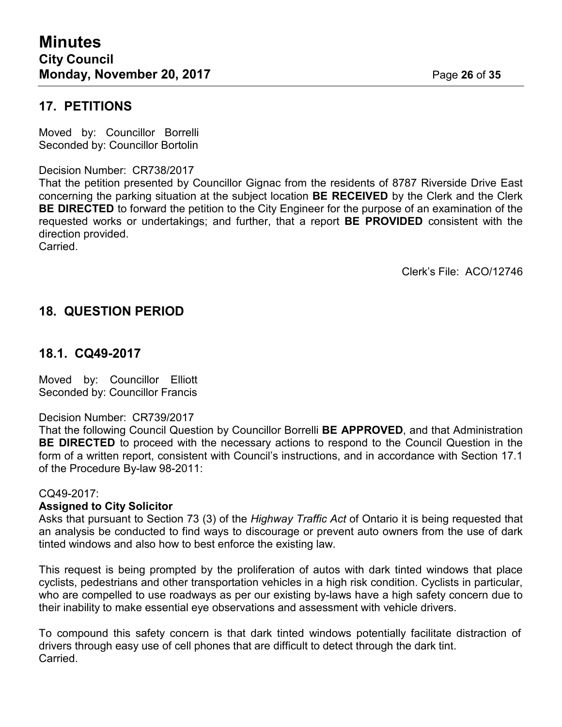### **17. PETITIONS**

Moved by: Councillor Borrelli Seconded by: Councillor Bortolin

#### Decision Number: CR738/2017

That the petition presented by Councillor Gignac from the residents of 8787 Riverside Drive East concerning the parking situation at the subject location **BE RECEIVED** by the Clerk and the Clerk **BE DIRECTED** to forward the petition to the City Engineer for the purpose of an examination of the requested works or undertakings; and further, that a report **BE PROVIDED** consistent with the direction provided.

Carried.

Clerk's File: ACO/12746

# **18. QUESTION PERIOD**

### **18.1. CQ49-2017**

Moved by: Councillor Elliott Seconded by: Councillor Francis

#### Decision Number: CR739/2017

That the following Council Question by Councillor Borrelli **BE APPROVED**, and that Administration **BE DIRECTED** to proceed with the necessary actions to respond to the Council Question in the form of a written report, consistent with Council's instructions, and in accordance with Section 17.1 of the Procedure By-law 98-2011:

#### CQ49-2017:

#### **Assigned to City Solicitor**

Asks that pursuant to Section 73 (3) of the *Highway Traffic Act* of Ontario it is being requested that an analysis be conducted to find ways to discourage or prevent auto owners from the use of dark tinted windows and also how to best enforce the existing law.

This request is being prompted by the proliferation of autos with dark tinted windows that place cyclists, pedestrians and other transportation vehicles in a high risk condition. Cyclists in particular, who are compelled to use roadways as per our existing by-laws have a high safety concern due to their inability to make essential eye observations and assessment with vehicle drivers.

To compound this safety concern is that dark tinted windows potentially facilitate distraction of drivers through easy use of cell phones that are difficult to detect through the dark tint. Carried.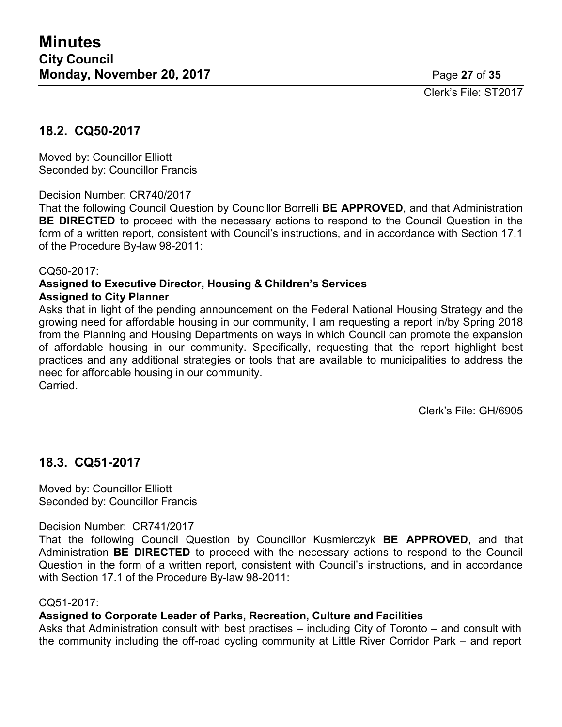Clerk's File: ST2017

### **18.2. CQ50-2017**

Moved by: Councillor Elliott Seconded by: Councillor Francis

Decision Number: CR740/2017

That the following Council Question by Councillor Borrelli **BE APPROVED**, and that Administration **BE DIRECTED** to proceed with the necessary actions to respond to the Council Question in the form of a written report, consistent with Council's instructions, and in accordance with Section 17.1 of the Procedure By-law 98-2011:

#### CQ50-2017:

#### **Assigned to Executive Director, Housing & Children's Services Assigned to City Planner**

Asks that in light of the pending announcement on the Federal National Housing Strategy and the growing need for affordable housing in our community, I am requesting a report in/by Spring 2018 from the Planning and Housing Departments on ways in which Council can promote the expansion of affordable housing in our community. Specifically, requesting that the report highlight best practices and any additional strategies or tools that are available to municipalities to address the need for affordable housing in our community. **Carried** 

Clerk's File: GH/6905

# **18.3. CQ51-2017**

Moved by: Councillor Elliott Seconded by: Councillor Francis

#### Decision Number: CR741/2017

That the following Council Question by Councillor Kusmierczyk **BE APPROVED**, and that Administration **BE DIRECTED** to proceed with the necessary actions to respond to the Council Question in the form of a written report, consistent with Council's instructions, and in accordance with Section 17.1 of the Procedure By-law 98-2011:

#### CQ51-2017:

#### **Assigned to Corporate Leader of Parks, Recreation, Culture and Facilities**

Asks that Administration consult with best practises – including City of Toronto – and consult with the community including the off-road cycling community at Little River Corridor Park – and report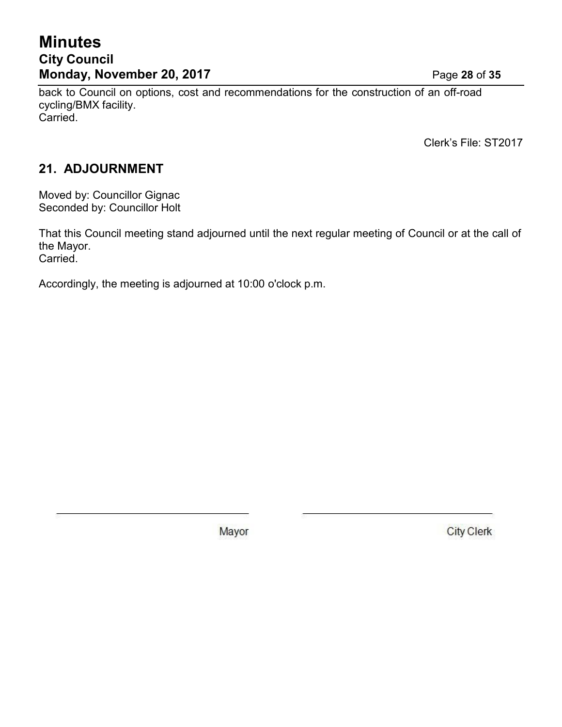# **Minutes City Council Monday, November 20, 2017** Page **28** of **35**

back to Council on options, cost and recommendations for the construction of an off-road cycling/BMX facility. Carried.

Clerk's File: ST2017

# **21. ADJOURNMENT**

Moved by: Councillor Gignac Seconded by: Councillor Holt

That this Council meeting stand adjourned until the next regular meeting of Council or at the call of the Mayor. Carried.

Accordingly, the meeting is adjourned at 10:00 o'clock p.m.

Mayor

**City Clerk**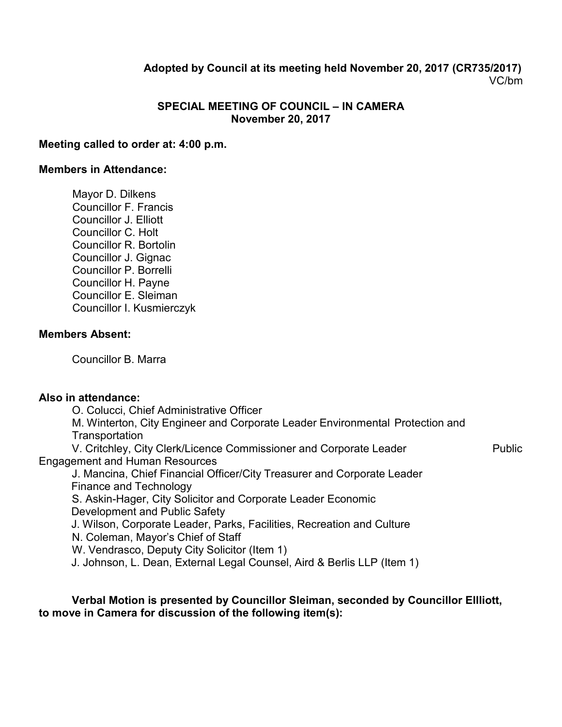### **Adopted by Council at its meeting held November 20, 2017 (CR735/2017)** VC/bm

#### **SPECIAL MEETING OF COUNCIL – IN CAMERA November 20, 2017**

#### **Meeting called to order at: 4:00 p.m.**

#### **Members in Attendance:**

Mayor D. Dilkens Councillor F. Francis Councillor J. Elliott Councillor C. Holt Councillor R. Bortolin Councillor J. Gignac Councillor P. Borrelli Councillor H. Payne Councillor E. Sleiman Councillor I. Kusmierczyk

#### **Members Absent:**

Councillor B. Marra

#### **Also in attendance:**

O. Colucci, Chief Administrative Officer

M. Winterton, City Engineer and Corporate Leader Environmental Protection and **Transportation** 

V. Critchley, City Clerk/Licence Commissioner and Corporate Leader Public Engagement and Human Resources

J. Mancina, Chief Financial Officer/City Treasurer and Corporate Leader Finance and Technology

S. Askin-Hager, City Solicitor and Corporate Leader Economic Development and Public Safety

J. Wilson, Corporate Leader, Parks, Facilities, Recreation and Culture

N. Coleman, Mayor's Chief of Staff

W. Vendrasco, Deputy City Solicitor (Item 1)

J. Johnson, L. Dean, External Legal Counsel, Aird & Berlis LLP (Item 1)

#### **Verbal Motion is presented by Councillor Sleiman, seconded by Councillor Ellliott, to move in Camera for discussion of the following item(s):**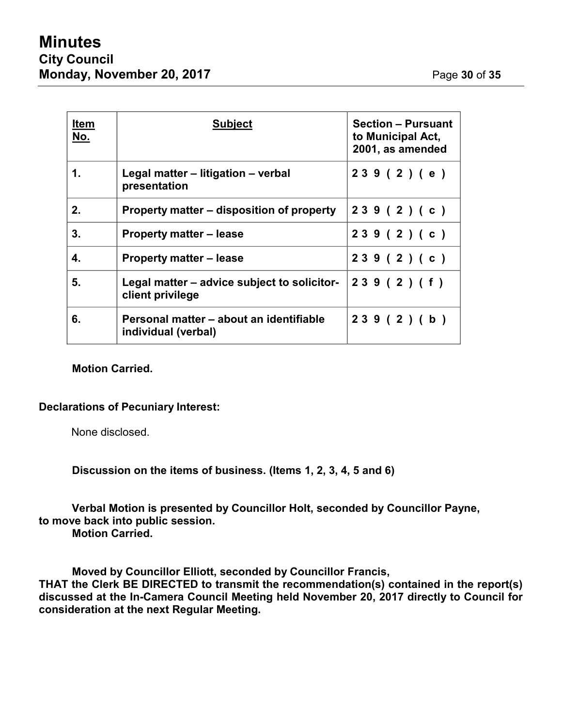| <b>Item</b><br><u>No.</u> | <b>Subject</b>                                                  | <b>Section - Pursuant</b><br>to Municipal Act,<br>2001, as amended |
|---------------------------|-----------------------------------------------------------------|--------------------------------------------------------------------|
| 1.                        | Legal matter – litigation – verbal<br>presentation              | 239(2)(e)                                                          |
| 2.                        | Property matter – disposition of property                       | 239(2)(c)                                                          |
| 3.                        | <b>Property matter – lease</b>                                  | 239(2)(c)                                                          |
| 4.                        | <b>Property matter – lease</b>                                  | 239(2)(c)                                                          |
| 5.                        | Legal matter – advice subject to solicitor-<br>client privilege | 239(2)(f)                                                          |
| 6.                        | Personal matter - about an identifiable<br>individual (verbal)  | 239(2)(b)                                                          |

#### **Motion Carried.**

#### **Declarations of Pecuniary Interest:**

None disclosed.

**Discussion on the items of business. (Items 1, 2, 3, 4, 5 and 6)**

**Verbal Motion is presented by Councillor Holt, seconded by Councillor Payne, to move back into public session.**

**Motion Carried.**

**Moved by Councillor Elliott, seconded by Councillor Francis, THAT the Clerk BE DIRECTED to transmit the recommendation(s) contained in the report(s) discussed at the In-Camera Council Meeting held November 20, 2017 directly to Council for consideration at the next Regular Meeting.**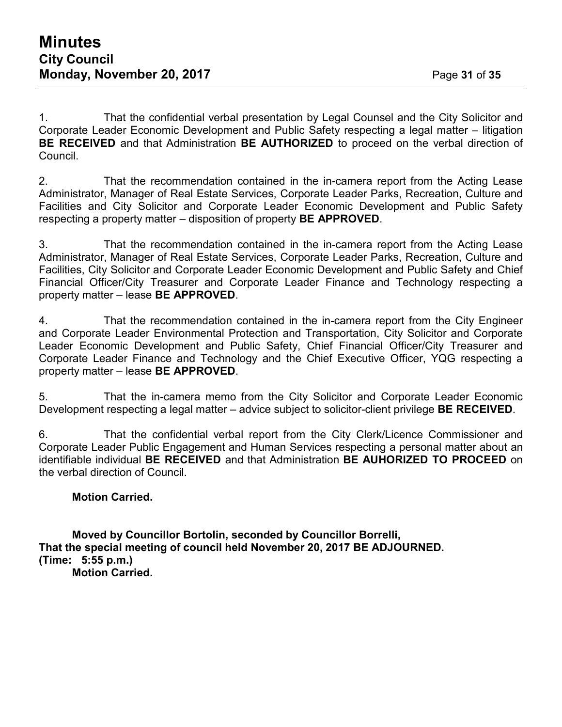1. That the confidential verbal presentation by Legal Counsel and the City Solicitor and Corporate Leader Economic Development and Public Safety respecting a legal matter – litigation **BE RECEIVED** and that Administration **BE AUTHORIZED** to proceed on the verbal direction of Council.

2. That the recommendation contained in the in-camera report from the Acting Lease Administrator, Manager of Real Estate Services, Corporate Leader Parks, Recreation, Culture and Facilities and City Solicitor and Corporate Leader Economic Development and Public Safety respecting a property matter – disposition of property **BE APPROVED**.

3. That the recommendation contained in the in-camera report from the Acting Lease Administrator, Manager of Real Estate Services, Corporate Leader Parks, Recreation, Culture and Facilities, City Solicitor and Corporate Leader Economic Development and Public Safety and Chief Financial Officer/City Treasurer and Corporate Leader Finance and Technology respecting a property matter – lease **BE APPROVED**.

4. That the recommendation contained in the in-camera report from the City Engineer and Corporate Leader Environmental Protection and Transportation, City Solicitor and Corporate Leader Economic Development and Public Safety, Chief Financial Officer/City Treasurer and Corporate Leader Finance and Technology and the Chief Executive Officer, YQG respecting a property matter – lease **BE APPROVED**.

5. That the in-camera memo from the City Solicitor and Corporate Leader Economic Development respecting a legal matter – advice subject to solicitor-client privilege **BE RECEIVED**.

6. That the confidential verbal report from the City Clerk/Licence Commissioner and Corporate Leader Public Engagement and Human Services respecting a personal matter about an identifiable individual **BE RECEIVED** and that Administration **BE AUHORIZED TO PROCEED** on the verbal direction of Council.

#### **Motion Carried.**

**Moved by Councillor Bortolin, seconded by Councillor Borrelli, That the special meeting of council held November 20, 2017 BE ADJOURNED. (Time: 5:55 p.m.) Motion Carried.**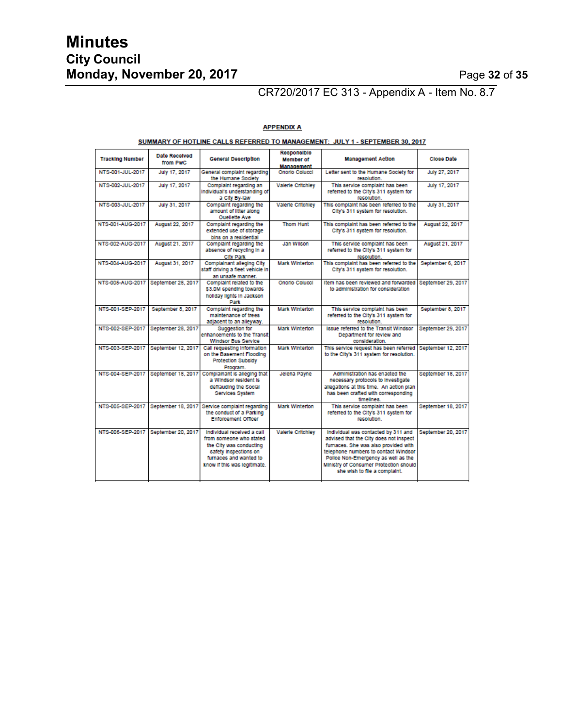# **Minutes City Council Monday, November 20, 2017** Page **32** of **35**

# CR720/2017 EC 313 - Appendix A - Item No. 8.7

| <b>Tracking Number</b> | Date Received<br>from PwC | <b>General Description</b>                                                                                                                                          | Responsible<br><b>Member</b> of<br><b>Management</b> | <b>Management Action</b>                                                                                                                                                                                                                                                       | Close Date         |  |  |  |  |
|------------------------|---------------------------|---------------------------------------------------------------------------------------------------------------------------------------------------------------------|------------------------------------------------------|--------------------------------------------------------------------------------------------------------------------------------------------------------------------------------------------------------------------------------------------------------------------------------|--------------------|--|--|--|--|
| NTS-001-JUL-2017       | July 17, 2017             | General complaint regarding<br>the Humane Society                                                                                                                   | Onorlo Colucci                                       | Letter sent to the Humane Society for<br>resolution.                                                                                                                                                                                                                           | July 27, 2017      |  |  |  |  |
| NTS-002-JUL-2017       | July 17, 2017             | Complaint regarding an<br>Individual's understanding of<br>a City By-law                                                                                            | <b>Valerie Critchley</b>                             | This service complaint has been<br>referred to the City's 311 system for<br>resolution                                                                                                                                                                                         | July 17, 2017      |  |  |  |  |
| NTS-003-JUL-2017       | July 31, 2017             | Complaint regarding the<br>amount of litter along<br><b>Ouellette Ave</b>                                                                                           | Valerie Critchley                                    | This complaint has been referred to the<br>City's 311 system for resolution.                                                                                                                                                                                                   | July 31, 2017      |  |  |  |  |
| NTS-001-AUG-2017       | August 22, 2017           | Complaint regarding the<br>extended use of storage<br>bins on a residential                                                                                         | <b>Thom Hunt</b>                                     | This complaint has been referred to the<br>City's 311 system for resolution.                                                                                                                                                                                                   | August 22, 2017    |  |  |  |  |
| NTS-002-AUG-2017       | August 21, 2017           | Complaint regarding the<br>absence of recycling in a<br><b>City Park</b>                                                                                            | Jan Wilson                                           | This service complaint has been<br>referred to the City's 311 system for<br>resolution.                                                                                                                                                                                        | August 21, 2017    |  |  |  |  |
| NTS-004-AUG-2017       | August 31, 2017           | Complainant alleging City<br>staff driving a fleet vehicle in<br>an unsafe manner.                                                                                  | <b>Mark Winterton</b>                                | This complaint has been referred to the<br>City's 311 system for resolution.                                                                                                                                                                                                   | September 6, 2017  |  |  |  |  |
| NTS-005-AUG-2017       | September 28, 2017        | Complaint related to the<br>\$3.0M spending towards<br>holiday lights in Jackson<br>Park                                                                            | Onorlo Colucci                                       | Item has been reviewed and forwarded<br>to administration for consideration                                                                                                                                                                                                    | September 29, 2017 |  |  |  |  |
| NTS-001-SEP-2017       | September 8, 2017         | Complaint regarding the<br>maintenance of trees.<br>adjacent to an alleyway.                                                                                        | <b>Mark Winterton</b>                                | This service complaint has been<br>referred to the City's 311 system for<br>resolution.                                                                                                                                                                                        | September 8, 2017  |  |  |  |  |
| NTS-002-SEP-2017       | September 28, 2017        | Suggestion for<br>enhancements to the Transit<br><b>Windsor Bus Service</b>                                                                                         | <b>Mark Winterton</b>                                | <b>Issue referred to the Transit Windsor</b><br>Department for review and<br>consideration.                                                                                                                                                                                    | September 29, 2017 |  |  |  |  |
| NTS-003-SEP-2017       | September 12, 2017        | Call requesting information<br>on the Basement Flooding<br><b>Protection Subsidy</b><br>Program.                                                                    | <b>Mark Winterton</b>                                | This service request has been referred<br>to the City's 311 system for resolution.                                                                                                                                                                                             | September 12, 2017 |  |  |  |  |
| NTS-004-SEP-2017       | September 18, 2017        | Complainant is alleging that<br>a Windsor resident is<br>defrauding the Social<br>Services System                                                                   | Jelena Payne                                         | Administration has enacted the<br>necessary protocols to investigate<br>allegations at this time. An action plan<br>has been crafted with corresponding<br>timelines.                                                                                                          | September 18, 2017 |  |  |  |  |
| NTS-005-SEP-2017       |                           | September 18, 2017 Service complaint regarding<br>the conduct of a Parking<br><b>Enforcement Officer</b>                                                            | <b>Mark Winterton</b>                                | This service complaint has been<br>referred to the City's 311 system for<br>resolution.                                                                                                                                                                                        | September 18, 2017 |  |  |  |  |
| NTS-006-SEP-2017       | September 20, 2017        | Individual received a call<br>from someone who stated<br>the City was conducting<br>safety Inspections on<br>furnaces and wanted to<br>know if this was legitimate. | <b>Valerie Critchley</b>                             | Individual was contacted by 311 and<br>advised that the City does not inspect<br>fumaces. She was also provided with<br>telephone numbers to contact Windsor<br>Police Non-Emergency as well as the<br>Ministry of Consumer Protection should<br>she wish to file a complaint. | September 20, 2017 |  |  |  |  |

#### **APPENDIX A** SUMMARY OF HOTLINE CALLS REFERRED TO MANAGEMENT: JULY 1 - SEPTEMBER 30, 2017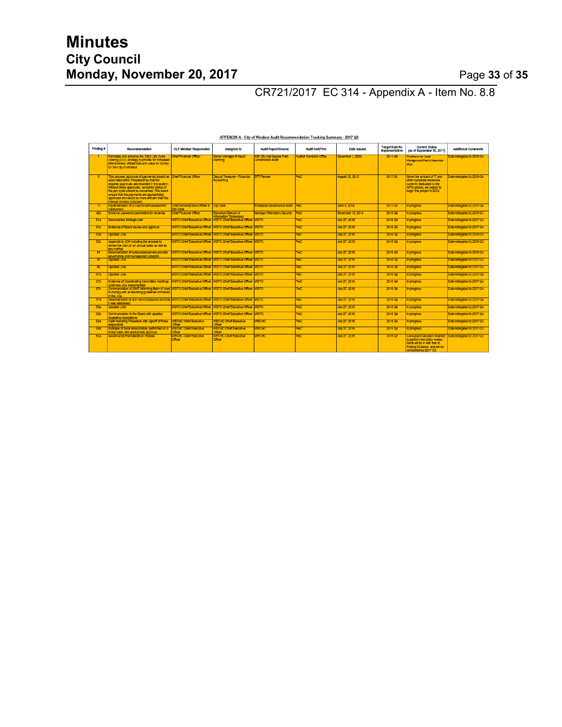CR721/2017 EC 314 - Appendix A - Item No. 8.8

| Finding #       | Recommendation                                                                                                                                                                                                                                                                                                                                                                              | <b>CLT Member Responsible</b>                                 | Assigned to                                                           | <b>Audit Report/Source</b>                       | <b>Audit Unit/Firm</b>                        | Date Issued       | <b>Target Date for</b><br>Implementation | <b>Current Status</b><br>(as of September 30, 2017)                                                                                                                             | <b>Additional Comments</b>  |
|-----------------|---------------------------------------------------------------------------------------------------------------------------------------------------------------------------------------------------------------------------------------------------------------------------------------------------------------------------------------------------------------------------------------------|---------------------------------------------------------------|-----------------------------------------------------------------------|--------------------------------------------------|-----------------------------------------------|-------------------|------------------------------------------|---------------------------------------------------------------------------------------------------------------------------------------------------------------------------------|-----------------------------|
|                 | Formalize and enhance the City's Life Cycle<br>Costing (LCC) strategy to provide for increased<br>effectiveness, efficiencies and value for money<br>for the City of Windsor.                                                                                                                                                                                                               | thief Financial Officer                                       | Senior Manager of Asset<br>Planning                                   | 400 City Hall Square Post-<br>Construction Audit | <b>Audior General's Office</b>                | December 1, 2009  | 2014 04                                  | <b>Imetrame for Asset</b><br><b>Management Plan is December</b><br><b>RHOR</b>                                                                                                  | Date retargeted to 2018 Q4  |
| $\overline{a}$  | This process (approval of payments) should be Chief Financial Officer<br>automated within Peoplesoft so that the<br>required approvals are recorded in the system.<br>Without these approvals, "complete" status of<br>the pay cycle should be prevented. This would<br>ensure that the payments are appropriately<br>approved and would be more efficient than the<br>beapone aaeomo kunsm |                                                               | Deputy Treasurer - Financial<br>Accounting                            | <b>FFT Review</b>                                | PM <sub>C</sub>                               | August 12, 2013   | 2017 01                                  | Given the amount of IT and<br>other corporate resources<br>currently dedicated to the<br>WFM project, we expect to<br>begin this project in 2019.                               | Date retargeted to 2019 Q4  |
| 17              | Implementation of a Council self-assessment<br>mechanism.                                                                                                                                                                                                                                                                                                                                   | Chief Administrative Officer & City Clerk<br><b>CiviClerk</b> |                                                                       | Enterprise Governance Audit                      | <b>PAC</b>                                    | June 9, 2014      | 2017.01                                  | n progress                                                                                                                                                                      | Date retargeted to 2017 Q4  |
| 42b             | Enhance password parameters for Amanda                                                                                                                                                                                                                                                                                                                                                      | Chief Financial Officer                                       | <b>Executive Director of</b><br>Information Technology                | Manage Information Security                      | <b>PMC</b>                                    | December 15, 2014 | 2016 Q4                                  | progress.                                                                                                                                                                       | Date retargeted to 2018 Q1. |
| 51a             | Documented strategic plan                                                                                                                                                                                                                                                                                                                                                                   | <b>NDTC Chief Executive Officer</b>                           | <b>NOTC Chief Executive Officer WDTC</b>                              |                                                  | PAC                                           | July 27, 2015     | 2016 Q4                                  | progress                                                                                                                                                                        | Date retargeted to 2017 Q4  |
| 51 <sub>b</sub> | Evidence of Board review and approval                                                                                                                                                                                                                                                                                                                                                       | <b>NDTC Chief Executive Officer</b>                           | <b>WDTC Chief Executive Officer WDTC</b>                              |                                                  | <b>PMC</b>                                    | July 27, 2015     | 2016 Q4                                  | progress                                                                                                                                                                        | Date retargeted to 2017 Q4  |
| 52a             | <b>Undated JOA</b>                                                                                                                                                                                                                                                                                                                                                                          |                                                               | WDTC Chief Executive Officer WDTC Chief Executive Officer WDTC        |                                                  | PAC                                           | July 27, 2015     | 2016 04                                  | n progress                                                                                                                                                                      | Date retargeted to 2018 Q3  |
| 52b             | Appendix to JOA Including the process to<br>review the plan on an annual basis as well as<br>key metrics.                                                                                                                                                                                                                                                                                   |                                                               | NDTC Chief Executive Officer   WDTC Chief Executive Officer   WDTC    |                                                  | PMC                                           | July 27, 2015     | 2016 04                                  | n progress                                                                                                                                                                      | Date retargeted to 2018 Q3  |
| 54              | Documentation of outsourced service provider<br>oovernance and management program                                                                                                                                                                                                                                                                                                           |                                                               | VDTC Chief Executive Officer   WDTC Chief Executive Officer   WDTC    |                                                  | <b>PMC</b>                                    | July 27, 2015     | 2016 Q4                                  | n progress                                                                                                                                                                      | Date retargeted to 2018 Q4  |
| 55              | <b>Undated JOA</b>                                                                                                                                                                                                                                                                                                                                                                          |                                                               | WDTC Chief Executive Officer WDTC Chief Executive Officer WDTC        |                                                  | PAC                                           | July 27, 2015     | 2016 Q4                                  | progress                                                                                                                                                                        | Date retargeted to 2017 Q4  |
| 56              | <b>Jodated JOA</b>                                                                                                                                                                                                                                                                                                                                                                          |                                                               | NDTC Chief Executive Officer WOTC Chief Executive Officer WDTC        |                                                  | $\overline{\mathbf{P} \mathbf{M} \mathbf{C}}$ | July 27, 2015     | 2016 Q4                                  | <b>progress</b>                                                                                                                                                                 | Date retargeted to 2017 Q4  |
| <b>57a</b>      | <b>AOL battad</b>                                                                                                                                                                                                                                                                                                                                                                           |                                                               | VDTC Chief Executive Officer   WDTC Chief Executive Officer   WDTC    |                                                  | PMC <sup>1</sup>                              | July 27, 2015     | 2016 Q4                                  | n progress                                                                                                                                                                      | Date retargeted to 2017 Q4  |
| <b>57b</b>      | Evidence of Coordinating Committee meetings<br>until new JOA implemented)                                                                                                                                                                                                                                                                                                                   |                                                               | NDTC Chief Executive Officer WOTC Chief Executive Officer WDTC        |                                                  | <b>PMC</b>                                    | July 27, 2015     | 2016 Q4                                  | n progress                                                                                                                                                                      | Date retargeted to 2017 Q4  |
| 57c             | Communication to DWT informing them of need WDTC Chief Executive Officer WDTC Chief Executive Officer WDTC<br>to comply with all reporting guidelines contained<br>n the JOA                                                                                                                                                                                                                |                                                               |                                                                       |                                                  | PAC                                           | July 27, 2015     | 2016 04                                  | progress                                                                                                                                                                        | Date retargeted to 2017 Q4  |
| 57d             | Documentation of any non-compliance and how WDTC Chief Executive Officer   WDTC Chief Executive Officer   WDTC<br>t was addressed                                                                                                                                                                                                                                                           |                                                               |                                                                       |                                                  | PWC                                           | July 27, 2015     | 2016 Q4                                  | n progress                                                                                                                                                                      | Date retargeted to 2017 Q4  |
| 583             | Lindated JOA                                                                                                                                                                                                                                                                                                                                                                                |                                                               | NDTC Chief Executive Officer WDTC Chief Executive Officer WDTC.       |                                                  | PMC                                           | July 27, 2015     | 2016 Q4                                  | progress                                                                                                                                                                        | Date retargeted to 2017 Q4  |
| <b>58b</b>      | Communication to the Board with updates<br>egarding negotiations                                                                                                                                                                                                                                                                                                                            |                                                               | <b>NDTC Chief Executive Officer WDTC Chief Executive Officer WDTC</b> |                                                  | PAC.                                          | July 27, 2015     | 2016 Q4                                  | progress                                                                                                                                                                        | Date retargeted to 2017 Q4  |
| 593             | Cash Handling Procedure with signoff of those<br>esponsible                                                                                                                                                                                                                                                                                                                                 | <b>WECHC Chief Executive</b><br><b>XTICET</b>                 | <b>WECHC Chief Executive</b><br>Officer                               | <b>WECHC</b>                                     | $\overline{\mathbf{P} \mathbf{M} \mathbf{C}}$ | July 27, 2015     | 2015 04                                  | progress.                                                                                                                                                                       | Date retargeted to 2017 Q3  |
| <b>59b</b>      | Example of bank reconciliation performed on a<br>timely basis with appropriate approval                                                                                                                                                                                                                                                                                                     | <b>VECHC Chief Executive</b><br><b>MORE</b>                   | <b>WECHC Chief Executive</b><br><b>Difficier</b>                      | <b>WECHC</b>                                     | <b>PMC</b>                                    | July 27, 2015     | 2015 Q4                                  | progress.                                                                                                                                                                       | Date retargeted to 2017 Q3  |
| 62a             | Governance Framework on Policies                                                                                                                                                                                                                                                                                                                                                            | <b>NECHC Chief Executive</b><br><b>Milcor</b>                 | <b>WECHC Chief Executive</b><br>Officer                               | <b>WECHC</b>                                     | PM <sub>C</sub>                               | July 27, 2015     | 2016 02                                  | Consultant has been retained Date retargeted to 2017 Q3<br>b perform the policy review.<br>Vork will be in with that of<br>Finding 63 below and will be<br>completed by 2017 Q3 |                             |

APPENDIX A - City of Windsor Audit Recommendation Tracking Summary - 2017 Q3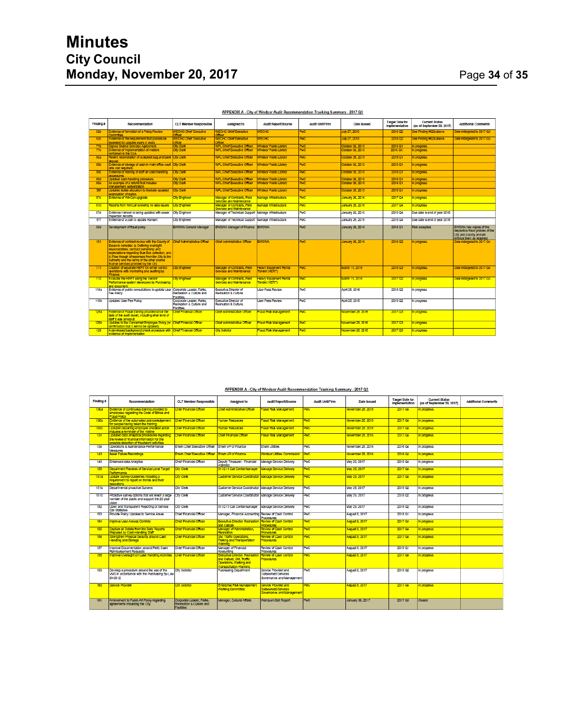| Finding #   | Recommendation                                                                                                                                                                                                                                                                                                                                                      | <b>CLT Member Responsible</b>                                             | Assigned to                                                    | <b>Audit Report/Source</b>                     | Audit Unit/Firm | Date Issued       | <b>Target Date for</b><br>Implementation | <b>Current Status</b><br>(as of September 30, 2017) | <b>Additional Comments</b>                                                                                           |
|-------------|---------------------------------------------------------------------------------------------------------------------------------------------------------------------------------------------------------------------------------------------------------------------------------------------------------------------------------------------------------------------|---------------------------------------------------------------------------|----------------------------------------------------------------|------------------------------------------------|-----------------|-------------------|------------------------------------------|-----------------------------------------------------|----------------------------------------------------------------------------------------------------------------------|
| 62b         | Evidence of formation of a Policy Review<br>Committee                                                                                                                                                                                                                                                                                                               | <b>NECHC Chief Executive</b><br><b>Milcer</b>                             | <b>NECHC Chief Executive</b><br><b>Difficier</b>               | <b>NECHC</b>                                   | <b>PMC</b>      | July 27, 2015     | 2016 02                                  | see Finding #62a above.                             | Date retargeted to 2017 Q3                                                                                           |
| 62c         | Evidence of the requirement that policies be<br>reviewed for updates every 5 years                                                                                                                                                                                                                                                                                  | <b>NECHC Chief Executive</b><br><b>Difficer</b>                           | <b>NECHC Chief Executive</b><br><b>Difficient</b>              | WECHC                                          | PAC             | July 27, 2015     | 2016 02                                  | See Finding #62a above.                             | Date retargeted to 2017 Q3                                                                                           |
| 77 <b>b</b> | Slaned Shared Services Agreement.                                                                                                                                                                                                                                                                                                                                   | City Clerk                                                                | <b>WPL Chief Executive Officer</b>                             | <b>Mindsor Public Library</b>                  | PMC             | October 26, 2015  | 2016 Q1                                  | n progress.                                         |                                                                                                                      |
| 77c         | Evidence of implementation of matters<br>contained in the SSA                                                                                                                                                                                                                                                                                                       | <b>Cty Clerk</b>                                                          | <b>WPL Chief Executive Officer</b>                             | <b>Vindsor Public Library</b>                  | PAC             | Detober 26, 2015  | 2016 Q1.                                 | progress.                                           |                                                                                                                      |
| 80a         | Recent reconciliation of a deposit bag and bank City Clerk<br>deposit.                                                                                                                                                                                                                                                                                              |                                                                           | <b>WPL Chief Executive Officer</b>                             | <b>Windsor Public Library</b>                  | PM <sub>C</sub> | October 26, 2015  | 2016 Q1                                  | n progress.                                         |                                                                                                                      |
| 80b         | Evidence of storage of cash in main office vault City Clerk<br>(site visit required)                                                                                                                                                                                                                                                                                |                                                                           | WPL Chief Executive Office                                     | Mindsor Public Library                         | <b>PMC</b>      | October 26, 2015  | 2016 Q1                                  | progress.                                           |                                                                                                                      |
| 80c         | Evidence of training of staff on cash handling<br>procedures.                                                                                                                                                                                                                                                                                                       | <b>Civ Clerk</b>                                                          | WPL Chief Executive Officer                                    | <b>Vindsor Public Library</b>                  | <b>PMC</b>      | Detober 26, 2015  | 2016 Q1                                  | progress.                                           |                                                                                                                      |
| 80d         | Uodated cash handling procedure.                                                                                                                                                                                                                                                                                                                                    | Cty Clerk                                                                 | WPL Chief Executive Office                                     | <b>Mndsor Public Library</b>                   | PMC             | Dotober 26, 2015  | 2016 Q1                                  | progress                                            |                                                                                                                      |
| 80e         | An example of a refund that includes<br>management authorization.                                                                                                                                                                                                                                                                                                   | <b>City Clerk</b>                                                         | <b>WPL Chief Executive Officer</b>                             | <b>Vindsor Public Library</b>                  | PAC             | October 26, 2015  | 2016 Q1                                  | progress                                            |                                                                                                                      |
| 80f         | Uodated duties allocation to liustrate updated<br>segregation of duties.                                                                                                                                                                                                                                                                                            | <b>City Clerk</b>                                                         | <b>WPL Chief Executive Officer</b>                             | <b>Windsor Public Library</b>                  | PMC.            | October 26, 2015  | 2016 Q1                                  | n progress.                                         |                                                                                                                      |
| 87c         | Evidence of WinCan upgrade                                                                                                                                                                                                                                                                                                                                          | <b>Ctv Engineer</b>                                                       | Manager of Contracts, Field<br>Services and Maintenance        | Manage Infrastructure                          | <b>PMC</b>      | January 26, 2016  | 2017 04                                  | n progress                                          |                                                                                                                      |
| 87d         | Reports from WinCan showing no data issues                                                                                                                                                                                                                                                                                                                          | <b>City Engineer</b>                                                      | Manager of Contracts, Field<br>Services and Maintenance        | Manage Infrastructure                          | PMC             | January 26, 2016  | 2017 Q4                                  | progress                                            |                                                                                                                      |
| 87e         | Evidence Hansen is being updated with sewer<br>Inspection records                                                                                                                                                                                                                                                                                                   | <b>City Engineer</b>                                                      | Manager of Technical Support Manage Infrastructure             |                                                | PWC             | January 26, 2016  | 2018 Q4                                  | Due date is end of year 2018                        |                                                                                                                      |
| 87f         | Evidence of a plan to update Hansen                                                                                                                                                                                                                                                                                                                                 | <b>Cty Engineer</b>                                                       | Manager of Technical Support Manage Infrastructure             |                                                | PWC             | January 26, 2016  | 2018 04                                  | Due date is end of year 2018                        |                                                                                                                      |
| 99d         | Development of fraud policy                                                                                                                                                                                                                                                                                                                                         | <b>EWSWA General Manager</b>                                              | EWSWA Manager of Finance EWSWA                                 |                                                | PwC             | January 26, 2016  | 2016 Q1                                  | Risk accepted.                                      | EWSWA has cooles of the<br>respective fraud policies of the<br>City and County and will<br>enforce them as required. |
| 101         | Evidence of contract review with the County of Chief Administrative Officer<br>Essex to consider: a) Outlining oversight<br>responsibilities, contract ownership and<br>expectations regarding Blue Box collection, and<br>b) Flow though of expenses from the City to the<br>Authority and the terms of the other shared<br>finance services provided by the City. |                                                                           | Chief Administrative Officer                                   | <b>EWSWA</b>                                   | PMC             | January 26, 2016  | 2016 02                                  | progress.                                           | Date retargeted to 2017 O4                                                                                           |
| 111         | Creation of separate HERT for winter control<br>operations with monitoring and auditing by<br>Finance.                                                                                                                                                                                                                                                              | <b>City Engineer</b>                                                      | Manager of Contracts, Field<br><b>Services and Maintenance</b> | <b>Heavy Equipment Rental</b><br>Fender (HERT) | PM <sub>C</sub> | March 11, 2016    | 2016Q3                                   | n progress.                                         | Date retargeted to 2017 Q4                                                                                           |
| 112         | Evaluate the HERT using the Vendor<br>Performance system developed by Purchasing<br>and document.                                                                                                                                                                                                                                                                   | <b>City Engineer</b>                                                      | Manager of Contracts, Field<br>Services and Maintenance        | <b>Heavy Equipment Rental</b><br>ender (HERT)  | PM <sub>C</sub> | March 11, 2016    | 2017 <sub>02</sub>                       | progress.                                           | Date retargeted to 2017 Q3                                                                                           |
| 116a        | Evidence of public consultations to update User<br>Fee Policy.                                                                                                                                                                                                                                                                                                      | Corporate Leader, Parks.<br>Recreation & Culture and<br><b>Facilities</b> | Executive Director of<br>Recreation & Culture                  | <b>Liser Fees Review</b>                       | PWC             | April 25, 2016    | 2018 02                                  | n progress                                          |                                                                                                                      |
| <b>116b</b> | <b>Updated User Fee Policy.</b>                                                                                                                                                                                                                                                                                                                                     | Corporate Leader, Parks.<br>Recreation & Culture and<br>Facilities        | <b>Executive Director of</b><br>Recreation & Culture           | <b>User Fees Review</b>                        | PWC             | April 25, 2016    | 2018 02                                  | In progress                                         |                                                                                                                      |
| <b>128a</b> | Evidence of Fraud training provided since the<br>date of the audit report, including what level of<br>staff it was almed at                                                                                                                                                                                                                                         | Chief Financial Officer                                                   | Chief Administrative Officer                                   | <b>Fraud Risk Management</b>                   | PAC             | November 28, 2016 | 2017 Q3                                  | progress.                                           |                                                                                                                      |
| <b>128b</b> | Updates to the Concerned Employee Policy (or<br>confirmation that it will not be updated)                                                                                                                                                                                                                                                                           | Chief Financial Officer                                                   | Chief Administrative Officer                                   | Fraud Risk Management                          | <b>PMC</b>      | November 28, 2016 | 2017 03                                  | progress.                                           |                                                                                                                      |
| 129         | A developed background check procedure with Chief Financial Officer<br>evidence of implementation                                                                                                                                                                                                                                                                   |                                                                           | <b>City Solicitor</b>                                          | Fraud Risk Management                          | PWC             | November 28, 2016 | 2017 Q3                                  | n progress.                                         |                                                                                                                      |

#### APPENDIX A - City of Windsor Audit Recommendation Tracking Summary - 2017 Q3

#### APPENDIX A - City of Windsor Audit Recommendation Tracking Summary - 2017 Q3

| Finding #   | Recommendation                                                                                                                              | <b>CLT Member Responsible</b>                                           | Assigned to                                                                                                           | <b>Audit Report/Source</b>                                                      | <b>Audit Unit/Firm</b> | Date Issued           | <b>Target Date for</b><br>Implementation | <b>Current Status</b><br>(as of September 30, 2017) | <b>Additional Comments</b> |
|-------------|---------------------------------------------------------------------------------------------------------------------------------------------|-------------------------------------------------------------------------|-----------------------------------------------------------------------------------------------------------------------|---------------------------------------------------------------------------------|------------------------|-----------------------|------------------------------------------|-----------------------------------------------------|----------------------------|
| <b>130a</b> | Evidence of continuous training provided to<br>employees regarding the Code of Ethics and<br>Fraud Policy                                   | thief Financial Officer                                                 | Chief Administrative Officer                                                                                          | raud Risk Management                                                            | PMC <sup>2</sup>       | November 28, 2016     | 2017 OA                                  | n progress.                                         |                            |
| <b>130b</b> | Evidence of the automated acknowledgement.<br>for people having taken the training                                                          | Chief Financial Officer                                                 | Human Resources                                                                                                       | Fraud Risk Management                                                           | <b>PAC</b>             | Voyember 28, 2016     | 2017 04                                  | n progress.                                         |                            |
| 130c        | Undated departing employee checklist which<br>ndudes a reminder of the Hotline                                                              | Chief Financial Officer                                                 | <b>Human Resources</b>                                                                                                | Fraud Risk Management                                                           | Þю                     | Voyember 28, 2016     | 2017.04                                  | n progress.                                         |                            |
| 131         | Updated data analytical procedures regarding<br>the review of financial information for the<br>possible detection of fraudulent activities. | Chief Financial Officer                                                 | Chief Financial Officer                                                                                               | Fraud Risk Management                                                           | <b>PAC</b>             | November 28, 2016     | 2017 Q4                                  | n progress.                                         |                            |
| 134         | Operations & Maintenance Performance<br>Measures                                                                                            | <b>Envin Chief Executive Officer</b>                                    | Frium VP of Finance                                                                                                   | Fruit Littlies                                                                  | PwC                    | November 28, 2016     | 2016 Q4                                  | In progress.                                        |                            |
| 143         | <b>Asset Falure Recordings</b>                                                                                                              | Erwin Chief Executive Officer Enwin VP of Finance                       |                                                                                                                       | Windsor Utilties Commission                                                     | <b>PWC</b>             | November 28, 2016     | 2016 Q4                                  | In progress.                                        |                            |
| 149         | <b>Enhanced data Analytics</b>                                                                                                              | Chief Financial Officer                                                 | Deputy Treasurer - Financial<br>Planning                                                                              | Manage Service Delivery                                                         | <b>PWC</b>             | May 29, 2017          | 2018 Q4                                  | In progress                                         |                            |
| 150         | Department Reviews of Service Level Target<br>Performance                                                                                   | <b>City Clerk</b>                                                       | 311/211 Call Centre Manager                                                                                           | Manage Service Delivery                                                         | PWC                    | May 29, 2017          | 2017 Q4                                  | progress                                            |                            |
| 151a        | Update Survey Guidelines Including a<br>requirement to report on trends and their<br>esolutions                                             | <b>City Clerk</b>                                                       | <b>Customer Service Coordinator</b>                                                                                   | Manage Service Delivery                                                         | PM <sub>C</sub>        | Vay 29, 2017          | 2017 Q4                                  | n progress                                          |                            |
| <b>151b</b> | Departmental proactive Surveys                                                                                                              | <b>City Clerk</b>                                                       | Customer Service Coordinator Manage Service Delivery                                                                  |                                                                                 | <b>PWC</b>             | May 29, 2017          | 2018 02                                  | in progress                                         |                            |
| <b>151c</b> | Proactive survey options that will reach a large<br>number of the public and support the 20 year<br>vkinn                                   | <b>City Clerk</b>                                                       | Customer Service Coordinator Manage Service Delivery                                                                  |                                                                                 | PWC                    | May 29, 2017          | 2018 02                                  | In progress                                         |                            |
| 152         | Open and Transparent Reporting of Service<br>Call Statistics                                                                                | <b>City Clerk</b>                                                       | 311/211 Call Centre Manager                                                                                           | Manage Service Delivery                                                         | <b>PMC</b>             | May 29, 2017          | 2018 02                                  | In progress                                         |                            |
| 153         | Provide Policy Updates to Service Areas                                                                                                     | <b>Chief Financial Officer</b>                                          | Manager, Financial Accounting Review of Cash Control                                                                  | <b>Procedures</b>                                                               | Pwc                    | <b>August 8, 2017</b> | 2018 01                                  | In progress                                         |                            |
| 154         | morove User Access Controls                                                                                                                 | Chief Financial Officer                                                 | <b>Executive Director, Recreation</b><br>and Culture                                                                  | Review of Cash Control<br><b>Procedures</b>                                     | <b>PWC</b>             | <b>August 8, 2017</b> | 2017 04                                  | n progress                                          |                            |
| 155         | Capture all Details from the Daily Reports<br>Prepared by Cash Handing Staff                                                                | Chief Financial Officer                                                 | Vanager of Administration,<br>Recreation                                                                              | Review of Cash Control<br>Propedures                                            | PAC.                   | <b>August 8, 2017</b> | 2017 Q4                                  | progress                                            |                            |
| 156         | Strengthen Physical Security around Cash<br>Handling and Storage                                                                            | Chief Financial Officer                                                 | SM. Traffic Operations.<br>Parking and Transportation<br>Planning                                                     | <b>Review of Cash Control</b><br><b>Procedures</b>                              | PAC                    | <b>August 8, 2017</b> | 2017 04                                  | n progress                                          |                            |
| 157         | Improve Documentation around Petty Cash<br><b>Reimbursement Requests</b>                                                                    | Chief Financial Officer                                                 | Manager of Financial<br>Accounting                                                                                    | Review of Cash Control<br><b>Procedures</b>                                     | PWC                    | <b>August 8, 2017</b> | 2018 Q1                                  | In progress                                         |                            |
| 158         | Improve Oversight on Cash Handling Activities                                                                                               | Chief Financial Officer                                                 | Executive Director, Recreati<br>and Culture: SM, Traffic<br>Operations, Parking and<br><b>Transportation Planning</b> | Review of Cash Control<br><b>Procedures</b>                                     | PwC.                   | <b>August 8, 2017</b> | 2017 Q4                                  | n progress                                          |                            |
| 159         | Develop a procedure around the use of the<br>VMS in accordance with the Purchasing By-Law<br>93-2012.                                       | <b>City Solicitor</b>                                                   | <b>Purchasing Department</b>                                                                                          | Service Provider and<br><b>Outsourced Services</b><br>Governance and Management | <b>PMC</b>             | August 8, 2017        | 2018 02                                  | In progress                                         |                            |
| 160         | Service Provider                                                                                                                            | <b>City Solicitor</b>                                                   | Enterorise Risk Management<br>Working Committee                                                                       | Service Provider and<br>Outsourced Services<br>Sovernance and Management        | <b>PWC</b>             | <b>August 8, 2017</b> | 2017 Q4                                  | n progress                                          |                            |
| 161         | Amendment to Public Art Policy regarding<br>agreements Impacting the City                                                                   | Corporate Leader, Parks.<br>Recreation & Culture and<br><b>Facilies</b> | Manager, Cultural Affairs                                                                                             | <b>Wampum Belt Report</b>                                                       | <b>PMC</b>             | January 30, 2017      | 2017 Q3                                  | Closed                                              |                            |